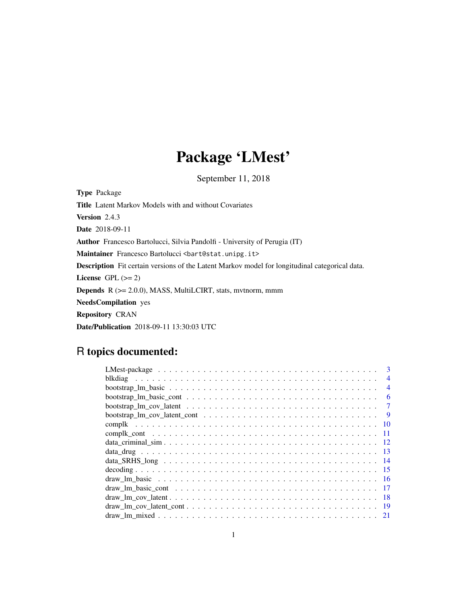## Package 'LMest'

September 11, 2018

Type Package Title Latent Markov Models with and without Covariates Version 2.4.3 Date 2018-09-11 Author Francesco Bartolucci, Silvia Pandolfi - University of Perugia (IT) Maintainer Francesco Bartolucci <br/>bart@stat.unipg.it> Description Fit certain versions of the Latent Markov model for longitudinal categorical data. License GPL  $(>= 2)$ Depends R (>= 2.0.0), MASS, MultiLCIRT, stats, mvtnorm, mmm NeedsCompilation yes Repository CRAN Date/Publication 2018-09-11 13:30:03 UTC

## R topics documented:

| $\mathbf{3}$                                                                                                                                                                                                                                                                                                                         |
|--------------------------------------------------------------------------------------------------------------------------------------------------------------------------------------------------------------------------------------------------------------------------------------------------------------------------------------|
| $\overline{4}$                                                                                                                                                                                                                                                                                                                       |
| $\overline{4}$                                                                                                                                                                                                                                                                                                                       |
| 6                                                                                                                                                                                                                                                                                                                                    |
| 7                                                                                                                                                                                                                                                                                                                                    |
| -9                                                                                                                                                                                                                                                                                                                                   |
|                                                                                                                                                                                                                                                                                                                                      |
| -11                                                                                                                                                                                                                                                                                                                                  |
|                                                                                                                                                                                                                                                                                                                                      |
|                                                                                                                                                                                                                                                                                                                                      |
|                                                                                                                                                                                                                                                                                                                                      |
|                                                                                                                                                                                                                                                                                                                                      |
|                                                                                                                                                                                                                                                                                                                                      |
|                                                                                                                                                                                                                                                                                                                                      |
|                                                                                                                                                                                                                                                                                                                                      |
| $\frac{d}{dx}$ $\lim_{x \to 0}$ $\frac{d}{dx}$ $\lim_{x \to 0}$ $\frac{d}{dx}$ $\lim_{x \to 0}$ $\lim_{x \to 0}$ $\lim_{x \to 0}$ $\lim_{x \to 0}$ $\lim_{x \to 0}$ $\lim_{x \to 0}$ $\lim_{x \to 0}$ $\lim_{x \to 0}$ $\lim_{x \to 0}$ $\lim_{x \to 0}$ $\lim_{x \to 0}$ $\lim_{x \to 0}$ $\lim_{x \to 0}$ $\lim_{x \to 0}$<br>- 19 |
|                                                                                                                                                                                                                                                                                                                                      |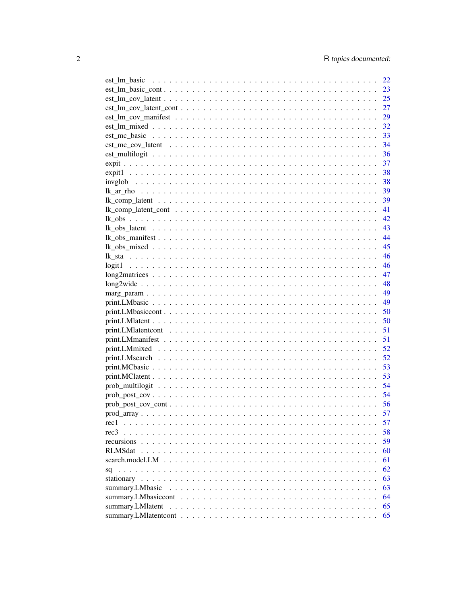|                                                                                                                    |  |  | 22   |
|--------------------------------------------------------------------------------------------------------------------|--|--|------|
| $est\_lm\_basic\_cont \ldots \ldots \ldots \ldots \ldots \ldots \ldots \ldots \ldots \ldots \ldots \ldots$         |  |  | 23   |
|                                                                                                                    |  |  |      |
| $est\_lm\_cov\_latent\_cont \dots \dots \dots \dots \dots \dots \dots \dots \dots \dots \dots \dots \dots$         |  |  | 27   |
|                                                                                                                    |  |  | 29   |
|                                                                                                                    |  |  | 32   |
|                                                                                                                    |  |  | 33   |
|                                                                                                                    |  |  | -34  |
| $est\_multipgit \dots \dots \dots \dots \dots \dots \dots \dots \dots \dots \dots \dots \dots \dots \dots \dots$   |  |  | - 36 |
|                                                                                                                    |  |  |      |
|                                                                                                                    |  |  |      |
|                                                                                                                    |  |  |      |
|                                                                                                                    |  |  |      |
|                                                                                                                    |  |  |      |
|                                                                                                                    |  |  |      |
|                                                                                                                    |  |  |      |
|                                                                                                                    |  |  |      |
|                                                                                                                    |  |  |      |
|                                                                                                                    |  |  |      |
|                                                                                                                    |  |  |      |
|                                                                                                                    |  |  |      |
|                                                                                                                    |  |  |      |
|                                                                                                                    |  |  |      |
|                                                                                                                    |  |  |      |
|                                                                                                                    |  |  |      |
|                                                                                                                    |  |  |      |
|                                                                                                                    |  |  |      |
|                                                                                                                    |  |  |      |
|                                                                                                                    |  |  |      |
|                                                                                                                    |  |  |      |
|                                                                                                                    |  |  |      |
|                                                                                                                    |  |  |      |
|                                                                                                                    |  |  |      |
|                                                                                                                    |  |  |      |
|                                                                                                                    |  |  |      |
|                                                                                                                    |  |  |      |
| $prob\_post\_cov\_cont \ldots \ldots \ldots \ldots \ldots \ldots \ldots \ldots \ldots \ldots \ldots \ldots \ldots$ |  |  |      |
|                                                                                                                    |  |  |      |
| rec1                                                                                                               |  |  | 57   |
| rec <sub>3</sub>                                                                                                   |  |  | 58   |
| recursions                                                                                                         |  |  | 59   |
| RLMSdat.                                                                                                           |  |  | 60   |
| search.model.LM                                                                                                    |  |  | 61   |
| sq                                                                                                                 |  |  | 62   |
|                                                                                                                    |  |  | 63   |
| summary.LMbasic                                                                                                    |  |  | 63   |
| summary.LMbasiccont                                                                                                |  |  | 64   |
| summary.LMlatent                                                                                                   |  |  | 65   |
|                                                                                                                    |  |  | 65   |
|                                                                                                                    |  |  |      |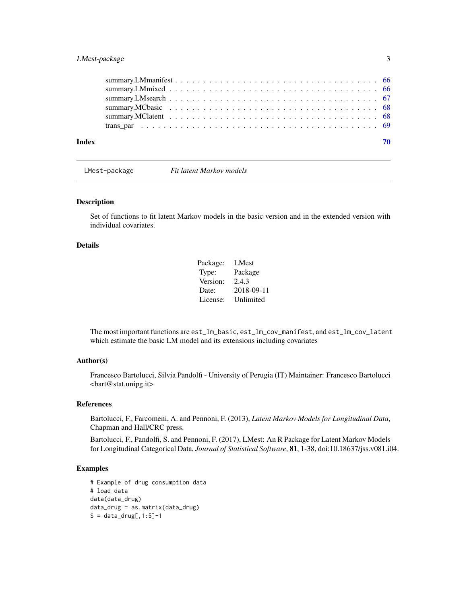## <span id="page-2-0"></span>LMest-package 3

| Index | 70 |
|-------|----|
|       |    |
|       |    |
|       |    |
|       |    |
|       |    |
|       |    |

LMest-package *Fit latent Markov models*

#### Description

Set of functions to fit latent Markov models in the basic version and in the extended version with individual covariates.

#### Details

| Package: | LMest      |
|----------|------------|
| Type:    | Package    |
| Version: | 2.4.3      |
| Date:    | 2018-09-11 |
| License: | Unlimited  |

The most important functions are est\_lm\_basic, est\_lm\_cov\_manifest, and est\_lm\_cov\_latent which estimate the basic LM model and its extensions including covariates

## Author(s)

Francesco Bartolucci, Silvia Pandolfi - University of Perugia (IT) Maintainer: Francesco Bartolucci <bart@stat.unipg.it>

#### References

Bartolucci, F., Farcomeni, A. and Pennoni, F. (2013), *Latent Markov Models for Longitudinal Data*, Chapman and Hall/CRC press.

Bartolucci, F., Pandolfi, S. and Pennoni, F. (2017), LMest: An R Package for Latent Markov Models for Longitudinal Categorical Data, *Journal of Statistical Software*, 81, 1-38, doi:10.18637/jss.v081.i04.

## Examples

```
# Example of drug consumption data
# load data
data(data_drug)
data_drug = as.matrix(data_drug)
S = data_drug[, 1:5]-1
```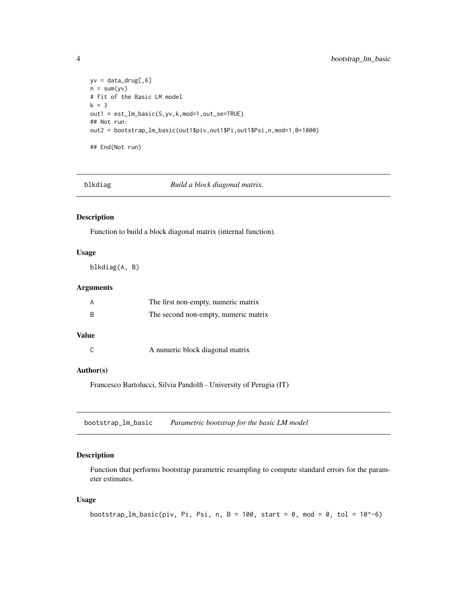```
yv = data_drug[, 6]n = sum(yv)# fit of the Basic LM model
k = 3out1 = est_lm_basic(S,yv,k,mod=1,out_se=TRUE)
## Not run:
out2 = bootstrap_lm_basic(out1$piv,out1$Pi,out1$Psi,n,mod=1,B=1000)
## End(Not run)
```
blkdiag *Build a block diagonal matrix.*

### Description

Function to build a block diagonal matrix (internal function).

## Usage

blkdiag(A, B)

#### Arguments

| A | The first non-empty, numeric matrix  |
|---|--------------------------------------|
| B | The second non-empty, numeric matrix |

## Value

C A numeric block diagonal matrix

#### Author(s)

Francesco Bartolucci, Silvia Pandolfi - University of Perugia (IT)

bootstrap\_lm\_basic *Parametric bootstrap for the basic LM model*

#### Description

Function that performs bootstrap parametric resampling to compute standard errors for the parameter estimates.

## Usage

```
bootstrap_lm_basic(piv, Pi, Psi, n, B = 100, start = 0, mod = 0, tol = 10^-6)
```
<span id="page-3-0"></span>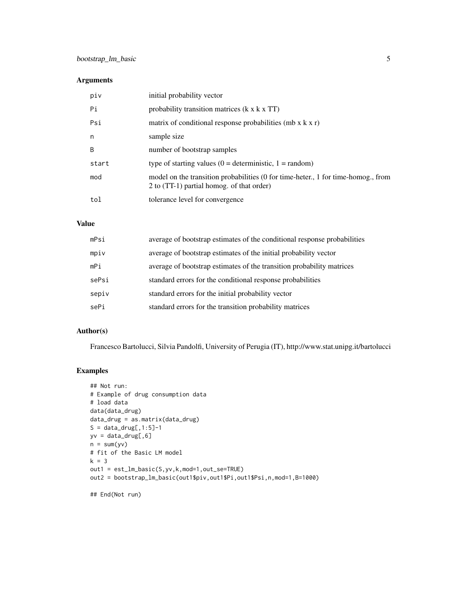## Arguments

| piv   | initial probability vector                                                                                                     |
|-------|--------------------------------------------------------------------------------------------------------------------------------|
| Pi    | probability transition matrices (k x k x TT)                                                                                   |
| Psi   | matrix of conditional response probabilities (mb $x$ k $x$ r)                                                                  |
| n     | sample size                                                                                                                    |
| B     | number of bootstrap samples                                                                                                    |
| start | type of starting values $(0 = \text{deterministic}, 1 = \text{random})$                                                        |
| mod   | model on the transition probabilities (0 for time-heter., 1 for time-homog., from<br>2 to (TT-1) partial homog. of that order) |
| tol   | tolerance level for convergence                                                                                                |

#### Value

| mPsi  | average of bootstrap estimates of the conditional response probabilities |
|-------|--------------------------------------------------------------------------|
| mpiv  | average of bootstrap estimates of the initial probability vector         |
| mPi   | average of bootstrap estimates of the transition probability matrices    |
| sePsi | standard errors for the conditional response probabilities               |
| sepiv | standard errors for the initial probability vector                       |
| sePi  | standard errors for the transition probability matrices                  |

## Author(s)

Francesco Bartolucci, Silvia Pandolfi, University of Perugia (IT), http://www.stat.unipg.it/bartolucci

### Examples

```
## Not run:
# Example of drug consumption data
# load data
data(data_drug)
data_drug = as.matrix(data_drug)
S = data_drug[, 1:5]-1yv = data_drug[, 6]n = sum(yv)# fit of the Basic LM model
k = 3out1 = est_lm_basic(S,yv,k,mod=1,out_se=TRUE)
out2 = bootstrap_lm_basic(out1$piv,out1$Pi,out1$Psi,n,mod=1,B=1000)
```
## End(Not run)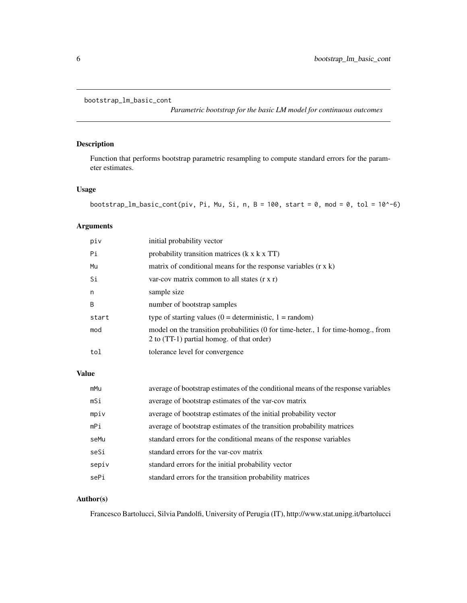```
bootstrap_lm_basic_cont
```
*Parametric bootstrap for the basic LM model for continuous outcomes*

#### Description

Function that performs bootstrap parametric resampling to compute standard errors for the parameter estimates.

#### Usage

```
bootstrap_lm_basic_cont(piv, Pi, Mu, Si, n, B = 100, start = 0, mod = 0, tol = 10^-6)
```
## Arguments

| piv   | initial probability vector                                                                                                     |
|-------|--------------------------------------------------------------------------------------------------------------------------------|
| Pi    | probability transition matrices $(k \times k \times TT)$                                                                       |
| Mu    | matrix of conditional means for the response variables $(r \times k)$                                                          |
| Si    | var-cov matrix common to all states $(r \times r)$                                                                             |
| n     | sample size                                                                                                                    |
| B     | number of bootstrap samples                                                                                                    |
| start | type of starting values $(0 =$ deterministic, $1 =$ random)                                                                    |
| mod   | model on the transition probabilities (0 for time-heter., 1 for time-homog., from<br>2 to (TT-1) partial homog. of that order) |
| tol   | tolerance level for convergence                                                                                                |
|       |                                                                                                                                |

### Value

| mMu   | average of bootstrap estimates of the conditional means of the response variables |
|-------|-----------------------------------------------------------------------------------|
| mSi   | average of bootstrap estimates of the var-cov matrix                              |
| mpiv  | average of bootstrap estimates of the initial probability vector                  |
| mPi   | average of bootstrap estimates of the transition probability matrices             |
| seMu  | standard errors for the conditional means of the response variables               |
| seSi  | standard errors for the var-cov matrix                                            |
| sepiv | standard errors for the initial probability vector                                |
| sePi  | standard errors for the transition probability matrices                           |

#### Author(s)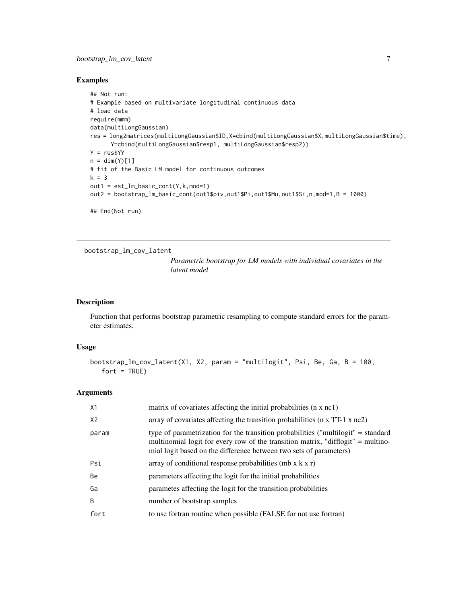### <span id="page-6-0"></span>bootstrap\_lm\_cov\_latent 7

#### Examples

```
## Not run:
# Example based on multivariate longitudinal continuous data
# load data
require(mmm)
data(multiLongGaussian)
res = long2matrices(multiLongGaussian$ID,X=cbind(multiLongGaussian$X,multiLongGaussian$time),
      Y=cbind(multiLongGaussian$resp1, multiLongGaussian$resp2))
Y = res$YY
n = \dim(Y)[1]# fit of the Basic LM model for continuous outcomes
k = 3out1 = est_lm_basic_cont(Y,k,mod=1)
out2 = bootstrap_lm_basic_cont(out1$piv,out1$Pi,out1$Mu,out1$Si,n,mod=1,B = 1000)
## End(Not run)
```
bootstrap\_lm\_cov\_latent

*Parametric bootstrap for LM models with individual covariates in the latent model*

#### Description

Function that performs bootstrap parametric resampling to compute standard errors for the parameter estimates.

#### Usage

```
bootstrap_lm_cov_latent(X1, X2, param = "multilogit", Psi, Be, Ga, B = 100,
   fort = TRUE)
```

| X1             | matrix of covariates affecting the initial probabilities (n x nc1)                                                                                                                                                                          |
|----------------|---------------------------------------------------------------------------------------------------------------------------------------------------------------------------------------------------------------------------------------------|
| X <sub>2</sub> | array of covariates affecting the transition probabilities ( $n \times TT-1 \times nc2$ )                                                                                                                                                   |
| param          | type of parametrization for the transition probabilities ("multilogit" = standard<br>multinomial logit for every row of the transition matrix, "difflogit" = multino-<br>mial logit based on the difference between two sets of parameters) |
| Psi            | array of conditional response probabilities (mb $x$ k $x$ r)                                                                                                                                                                                |
| <b>Be</b>      | parameters affecting the logit for the initial probabilities                                                                                                                                                                                |
| Ga             | parametes affecting the logit for the transition probabilities                                                                                                                                                                              |
| <sub>B</sub>   | number of bootstrap samples                                                                                                                                                                                                                 |
| fort           | to use fortran routine when possible (FALSE for not use fortran)                                                                                                                                                                            |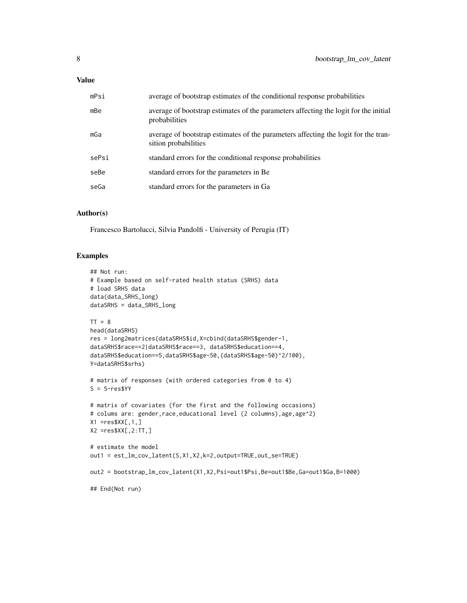#### Value

| mPsi  | average of bootstrap estimates of the conditional response probabilities                                   |
|-------|------------------------------------------------------------------------------------------------------------|
| mBe   | average of bootstrap estimates of the parameters affecting the logit for the initial<br>probabilities      |
| mGa   | average of bootstrap estimates of the parameters affecting the logit for the tran-<br>sition probabilities |
| sePsi | standard errors for the conditional response probabilities                                                 |
| seBe  | standard errors for the parameters in Be.                                                                  |
| seGa  | standard errors for the parameters in Ga                                                                   |
|       |                                                                                                            |

#### Author(s)

Francesco Bartolucci, Silvia Pandolfi - University of Perugia (IT)

#### Examples

```
## Not run:
# Example based on self-rated health status (SRHS) data
# load SRHS data
data(data_SRHS_long)
dataSRHS = data_SRHS_long
TT = 8head(dataSRHS)
res = long2matrices(dataSRHS$id,X=cbind(dataSRHS$gender-1,
dataSRHS$race==2|dataSRHS$race==3, dataSRHS$education==4,
dataSRHS$education==5,dataSRHS$age-50,(dataSRHS$age-50)^2/100),
Y=dataSRHS$srhs)
# matrix of responses (with ordered categories from 0 to 4)
S = 5-res$YY
# matrix of covariates (for the first and the following occasions)
# colums are: gender, race, educational level (2 columns), age, age^2)
X1 = \text{res}XX[\,1,1]X2 =res$XX[,2:TT,]
# estimate the model
out1 = est_lm_cov_latent(S,X1,X2,k=2,output=TRUE,out_se=TRUE)
out2 = bootstrap_lm_cov_latent(X1,X2,Psi=out1$Psi,Be=out1$Be,Ga=out1$Ga,B=1000)
## End(Not run)
```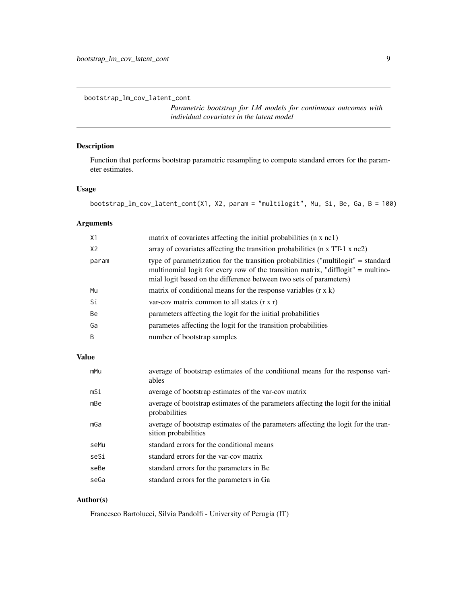<span id="page-8-0"></span>bootstrap\_lm\_cov\_latent\_cont

*Parametric bootstrap for LM models for continuous outcomes with individual covariates in the latent model*

## Description

Function that performs bootstrap parametric resampling to compute standard errors for the parameter estimates.

#### Usage

```
bootstrap_lm_cov_latent_cont(X1, X2, param = "multilogit", Mu, Si, Be, Ga, B = 100)
```
#### Arguments

| X1             | matrix of covariates affecting the initial probabilities (n x nc1)                                                                                                                                                                          |
|----------------|---------------------------------------------------------------------------------------------------------------------------------------------------------------------------------------------------------------------------------------------|
| X <sub>2</sub> | array of covariates affecting the transition probabilities ( $n \times TT-1 \times nc2$ )                                                                                                                                                   |
| param          | type of parametrization for the transition probabilities ("multilogit" = standard<br>multinomial logit for every row of the transition matrix, "difflogit" = multino-<br>mial logit based on the difference between two sets of parameters) |
| Mu             | matrix of conditional means for the response variables $(r \times k)$                                                                                                                                                                       |
| Si             | var-cov matrix common to all states $(r \times r)$                                                                                                                                                                                          |
| Be             | parameters affecting the logit for the initial probabilities                                                                                                                                                                                |
| Ga             | parametes affecting the logit for the transition probabilities                                                                                                                                                                              |
| B              | number of bootstrap samples                                                                                                                                                                                                                 |

## Value

| mMu  | average of bootstrap estimates of the conditional means for the response vari-<br>ables                    |
|------|------------------------------------------------------------------------------------------------------------|
| mSi  | average of bootstrap estimates of the var-cov matrix                                                       |
| mBe  | average of bootstrap estimates of the parameters affecting the logit for the initial<br>probabilities      |
| mGa  | average of bootstrap estimates of the parameters affecting the logit for the tran-<br>sition probabilities |
| seMu | standard errors for the conditional means                                                                  |
| seSi | standard errors for the var-cov matrix                                                                     |
| seBe | standard errors for the parameters in Be.                                                                  |
| seGa | standard errors for the parameters in Ga                                                                   |

## Author(s)

Francesco Bartolucci, Silvia Pandolfi - University of Perugia (IT)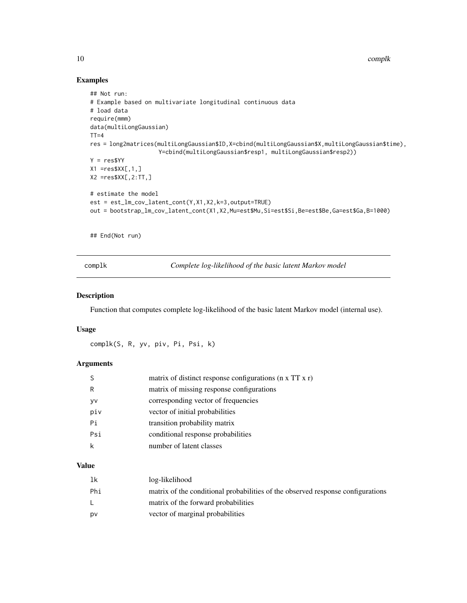10 complk

## Examples

```
## Not run:
# Example based on multivariate longitudinal continuous data
# load data
require(mmm)
data(multiLongGaussian)
TT=4res = long2matrices(multiLongGaussian$ID,X=cbind(multiLongGaussian$X,multiLongGaussian$time),
                    Y=cbind(multiLongGaussian$resp1, multiLongGaussian$resp2))
Y = res$YY
X1 = res$XX[, 1, ]X2 =res$XX[,2:TT,]
# estimate the model
est = est_lm_cov_latent_cont(Y,X1,X2,k=3,output=TRUE)
out = bootstrap_lm_cov_latent_cont(X1,X2,Mu=est$Mu,Si=est$Si,Be=est$Be,Ga=est$Ga,B=1000)
```
## End(Not run)

complk *Complete log-likelihood of the basic latent Markov model*

#### Description

Function that computes complete log-likelihood of the basic latent Markov model (internal use).

#### Usage

complk(S, R, yv, piv, Pi, Psi, k)

#### Arguments

|     | matrix of distinct response configurations ( $\pi$ x TT x r) |
|-----|--------------------------------------------------------------|
| R   | matrix of missing response configurations                    |
| y٧  | corresponding vector of frequencies                          |
| piv | vector of initial probabilities                              |
| Рi  | transition probability matrix                                |
| Psi | conditional response probabilities                           |
|     | number of latent classes                                     |
|     |                                                              |

#### Value

| 1k  | log-likelihood                                                                  |
|-----|---------------------------------------------------------------------------------|
| Phi | matrix of the conditional probabilities of the observed response configurations |
|     | matrix of the forward probabilities                                             |
| D٧  | vector of marginal probabilities                                                |

<span id="page-9-0"></span>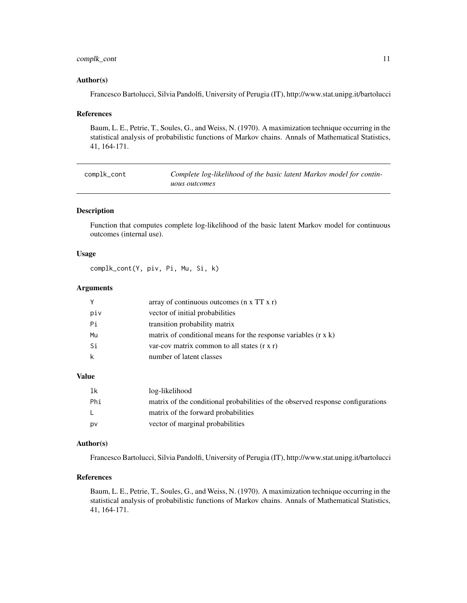### <span id="page-10-0"></span>complk\_cont 11

#### Author(s)

Francesco Bartolucci, Silvia Pandolfi, University of Perugia (IT), http://www.stat.unipg.it/bartolucci

#### References

Baum, L. E., Petrie, T., Soules, G., and Weiss, N. (1970). A maximization technique occurring in the statistical analysis of probabilistic functions of Markov chains. Annals of Mathematical Statistics, 41, 164-171.

| complk_cont | Complete log-likelihood of the basic latent Markov model for contin- |
|-------------|----------------------------------------------------------------------|
|             | <i>uous outcomes</i>                                                 |

#### Description

Function that computes complete log-likelihood of the basic latent Markov model for continuous outcomes (internal use).

#### Usage

complk\_cont(Y, piv, Pi, Mu, Si, k)

#### Arguments

| Y<br>array of continuous outcomes $(n \times TT \times r)$                  |  |
|-----------------------------------------------------------------------------|--|
| piv<br>vector of initial probabilities                                      |  |
| Pi<br>transition probability matrix                                         |  |
| matrix of conditional means for the response variables $(r \times k)$<br>Mu |  |
| Si<br>var-cov matrix common to all states $(r x r)$                         |  |
| k<br>number of latent classes                                               |  |

## Value

| -1k | log-likelihood                                                                  |
|-----|---------------------------------------------------------------------------------|
| Phi | matrix of the conditional probabilities of the observed response configurations |
| L.  | matrix of the forward probabilities                                             |
| pv  | vector of marginal probabilities                                                |

#### Author(s)

Francesco Bartolucci, Silvia Pandolfi, University of Perugia (IT), http://www.stat.unipg.it/bartolucci

#### References

Baum, L. E., Petrie, T., Soules, G., and Weiss, N. (1970). A maximization technique occurring in the statistical analysis of probabilistic functions of Markov chains. Annals of Mathematical Statistics, 41, 164-171.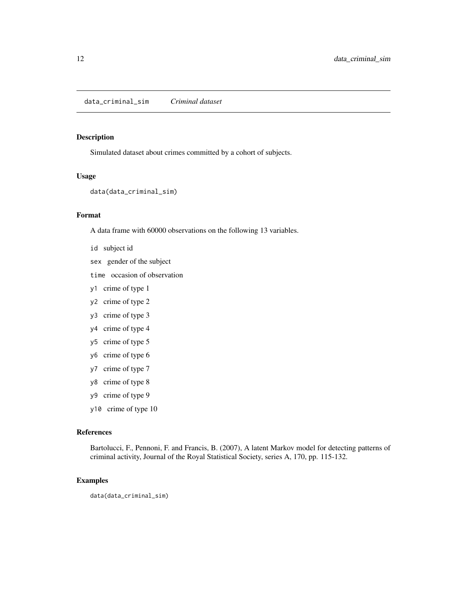<span id="page-11-0"></span>Simulated dataset about crimes committed by a cohort of subjects.

#### Usage

```
data(data_criminal_sim)
```
#### Format

A data frame with 60000 observations on the following 13 variables.

- id subject id
- sex gender of the subject
- time occasion of observation
- y1 crime of type 1
- y2 crime of type 2
- y3 crime of type 3
- y4 crime of type 4
- y5 crime of type 5
- y6 crime of type 6
- y7 crime of type 7
- y8 crime of type 8
- y9 crime of type 9
- y10 crime of type 10

#### References

Bartolucci, F., Pennoni, F. and Francis, B. (2007), A latent Markov model for detecting patterns of criminal activity, Journal of the Royal Statistical Society, series A, 170, pp. 115-132.

#### Examples

data(data\_criminal\_sim)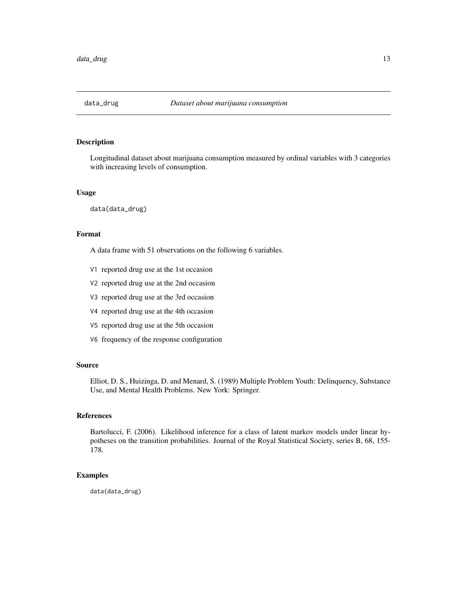<span id="page-12-0"></span>

Longitudinal dataset about marijuana consumption measured by ordinal variables with 3 categories with increasing levels of consumption.

#### Usage

data(data\_drug)

#### Format

A data frame with 51 observations on the following 6 variables.

- V1 reported drug use at the 1st occasion
- V2 reported drug use at the 2nd occasion
- V3 reported drug use at the 3rd occasion
- V4 reported drug use at the 4th occasion
- V5 reported drug use at the 5th occasion
- V6 frequency of the response configuration

#### Source

Elliot, D. S., Huizinga, D. and Menard, S. (1989) Multiple Problem Youth: Delinquency, Substance Use, and Mental Health Problems. New York: Springer.

#### References

Bartolucci, F. (2006). Likelihood inference for a class of latent markov models under linear hypotheses on the transition probabilities. Journal of the Royal Statistical Society, series B, 68, 155- 178.

#### Examples

data(data\_drug)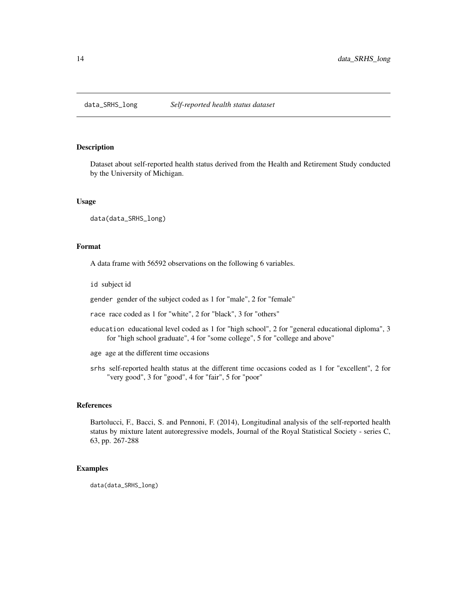<span id="page-13-0"></span>

Dataset about self-reported health status derived from the Health and Retirement Study conducted by the University of Michigan.

#### Usage

data(data\_SRHS\_long)

#### Format

A data frame with 56592 observations on the following 6 variables.

id subject id

gender gender of the subject coded as 1 for "male", 2 for "female"

race race coded as 1 for "white", 2 for "black", 3 for "others"

education educational level coded as 1 for "high school", 2 for "general educational diploma", 3 for "high school graduate", 4 for "some college", 5 for "college and above"

age age at the different time occasions

srhs self-reported health status at the different time occasions coded as 1 for "excellent", 2 for "very good", 3 for "good", 4 for "fair", 5 for "poor"

#### References

Bartolucci, F., Bacci, S. and Pennoni, F. (2014), Longitudinal analysis of the self-reported health status by mixture latent autoregressive models, Journal of the Royal Statistical Society - series C, 63, pp. 267-288

#### Examples

data(data\_SRHS\_long)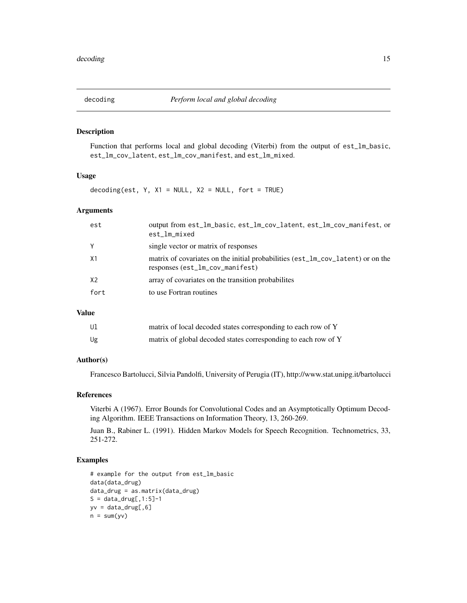<span id="page-14-0"></span>Function that performs local and global decoding (Viterbi) from the output of est\_lm\_basic, est\_lm\_cov\_latent, est\_lm\_cov\_manifest, and est\_lm\_mixed.

## Usage

decoding(est,  $Y$ ,  $X1 = NULL$ ,  $X2 = NULL$ , fort = TRUE)

#### Arguments

| est  | output from est_lm_basic, est_lm_cov_latent, est_lm_cov_manifest, or<br>est_lm_mixed                               |
|------|--------------------------------------------------------------------------------------------------------------------|
| Y    | single vector or matrix of responses                                                                               |
| X1   | matrix of covariates on the initial probabilities (est_lm_cov_latent) or on the<br>responses (est_lm_cov_manifest) |
| X2   | array of covariates on the transition probabilites                                                                 |
| fort | to use Fortran routines                                                                                            |
|      |                                                                                                                    |

#### Value

| Ul | matrix of local decoded states corresponding to each row of Y  |
|----|----------------------------------------------------------------|
| Ug | matrix of global decoded states corresponding to each row of Y |

## Author(s)

Francesco Bartolucci, Silvia Pandolfi, University of Perugia (IT), http://www.stat.unipg.it/bartolucci

#### References

Viterbi A (1967). Error Bounds for Convolutional Codes and an Asymptotically Optimum Decoding Algorithm. IEEE Transactions on Information Theory, 13, 260-269.

Juan B., Rabiner L. (1991). Hidden Markov Models for Speech Recognition. Technometrics, 33, 251-272.

#### Examples

```
# example for the output from est_lm_basic
data(data_drug)
data_drug = as.matrix(data_drug)
S = data_drug[, 1:5]-1yv = data_drug[, 6]n = sum(yv)
```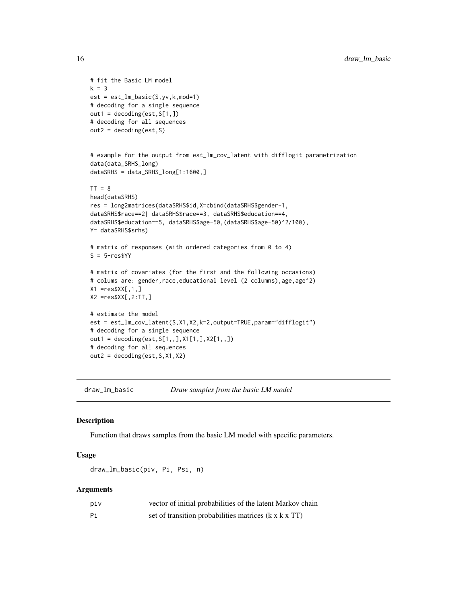```
# fit the Basic LM model
k = 3est = est_lm_basic(S,yv,k,mod=1)
# decoding for a single sequence
out1 = decoding(est, S[1,])# decoding for all sequences
out2 = decoding(est, S)# example for the output from est_lm_cov_latent with difflogit parametrization
data(data_SRHS_long)
dataSRHS = data_SRHS_long[1:1600,]
TT = 8head(dataSRHS)
res = long2matrices(dataSRHS$id,X=cbind(dataSRHS$gender-1,
dataSRHS$race==2| dataSRHS$race==3, dataSRHS$education==4,
dataSRHS$education==5, dataSRHS$age-50,(dataSRHS$age-50)^2/100),
Y= dataSRHS$srhs)
# matrix of responses (with ordered categories from 0 to 4)
S = 5-resSYY# matrix of covariates (for the first and the following occasions)
# colums are: gender, race, educational level (2 columns), age, age^2)
X1 = res$XX[, 1, ]X2 = res$XX[, 2:TT, ]# estimate the model
est = est_lm_cov_latent(S,X1,X2,k=2,output=TRUE,param="difflogit")
# decoding for a single sequence
out1 = decoding(est,S[1,,],X1[1,],X2[1,,])
# decoding for all sequences
out2 = decoding(est,S,X1,X2)
```

```
draw_lm_basic Draw samples from the basic LM model
```
Function that draws samples from the basic LM model with specific parameters.

#### Usage

```
draw_lm_basic(piv, Pi, Psi, n)
```

| piv | vector of initial probabilities of the latent Markov chain        |
|-----|-------------------------------------------------------------------|
| Рi  | set of transition probabilities matrices $(k \times k \times TT)$ |

<span id="page-15-0"></span>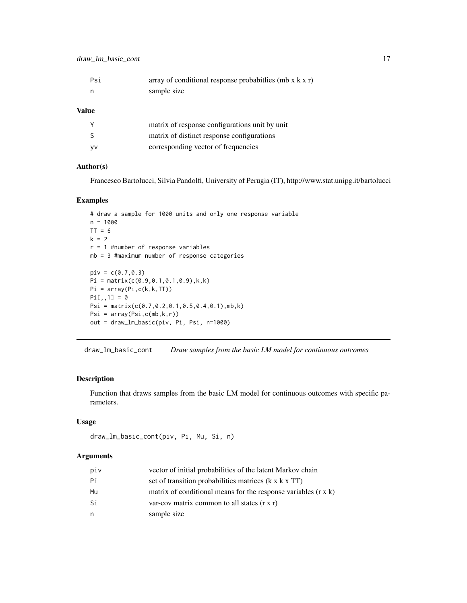<span id="page-16-0"></span>

| Psi          | array of conditional response probabit lies (mb $x$ k $x$ r) |
|--------------|--------------------------------------------------------------|
| n            | sample size                                                  |
| <b>Value</b> |                                                              |

|           | matrix of response configurations unit by unit |
|-----------|------------------------------------------------|
| -S        | matrix of distinct response configurations     |
| <b>VV</b> | corresponding vector of frequencies            |

#### Author(s)

Francesco Bartolucci, Silvia Pandolfi, University of Perugia (IT), http://www.stat.unipg.it/bartolucci

#### Examples

```
# draw a sample for 1000 units and only one response variable
n = 1000
TT = 6k = 2r = 1 #number of response variables
mb = 3 #maximum number of response categories
piv = c(0.7, 0.3)Pi = matrix(c(0.9,0.1,0.1,0.9),k,k)
Pi = array(Pi, c(k, k, TT))Pi[,, 1] = 0Psi = matrix(c(0.7,0.2,0.1,0.5,0.4,0.1),mb,k)
Psi = array(Psi,c(mb,k,r))
out = draw_lm_basic(piv, Pi, Psi, n=1000)
```
draw\_lm\_basic\_cont *Draw samples from the basic LM model for continuous outcomes*

#### Description

Function that draws samples from the basic LM model for continuous outcomes with specific parameters.

#### Usage

```
draw_lm_basic_cont(piv, Pi, Mu, Si, n)
```

| piv | vector of initial probabilities of the latent Markov chain            |
|-----|-----------------------------------------------------------------------|
| Рi  | set of transition probabilities matrices $(k \times k \times TT)$     |
| Mu  | matrix of conditional means for the response variables $(r \times k)$ |
| Si  | var-cov matrix common to all states $(r x r)$                         |
| n   | sample size                                                           |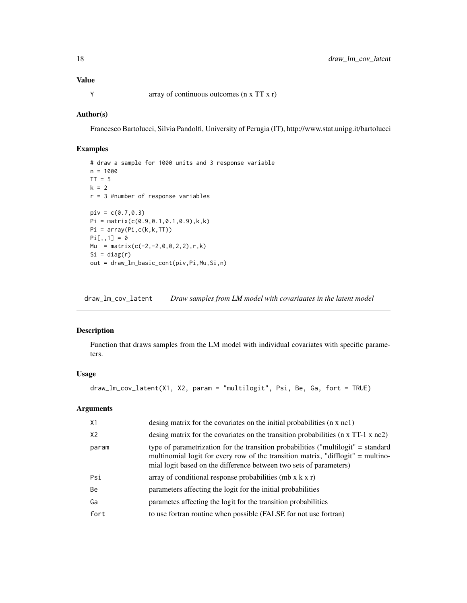## <span id="page-17-0"></span>Value

Y array of continuous outcomes (n x TT x r)

#### Author(s)

Francesco Bartolucci, Silvia Pandolfi, University of Perugia (IT), http://www.stat.unipg.it/bartolucci

#### Examples

```
# draw a sample for 1000 units and 3 response variable
n = 1000TT = 5k = 2r = 3 #number of response variables
piv = c(0.7, 0.3)Pi = matrix(c(0.9, 0.1, 0.1, 0.9), k, k)Pi = array(Pi,c(k,k,TT))
Pi[,, 1] = 0Mu = matrix(c(-2, -2, 0, 0, 2, 2), r, k)Si = diag(r)out = draw_lm_basic_cont(piv,Pi,Mu,Si,n)
```
draw\_lm\_cov\_latent *Draw samples from LM model with covariaates in the latent model*

### Description

Function that draws samples from the LM model with individual covariates with specific parameters.

## Usage

```
draw_lm_cov_latent(X1, X2, param = "multilogit", Psi, Be, Ga, fort = TRUE)
```

| X1    | desing matrix for the covariates on the initial probabilities (n x nc1)                                                                                                                                                                     |
|-------|---------------------------------------------------------------------------------------------------------------------------------------------------------------------------------------------------------------------------------------------|
| X2    | desing matrix for the covariates on the transition probabilities $(n \times TT-1 \times nc2)$                                                                                                                                               |
| param | type of parametrization for the transition probabilities ("multilogit" = standard<br>multinomial logit for every row of the transition matrix, "difflogit" = multino-<br>mial logit based on the difference between two sets of parameters) |
| Psi   | array of conditional response probabilities (mb $x$ k $x$ r)                                                                                                                                                                                |
| Be    | parameters affecting the logit for the initial probabilities                                                                                                                                                                                |
| Ga    | parametes affecting the logit for the transition probabilities                                                                                                                                                                              |
| fort  | to use fortran routine when possible (FALSE for not use fortran)                                                                                                                                                                            |
|       |                                                                                                                                                                                                                                             |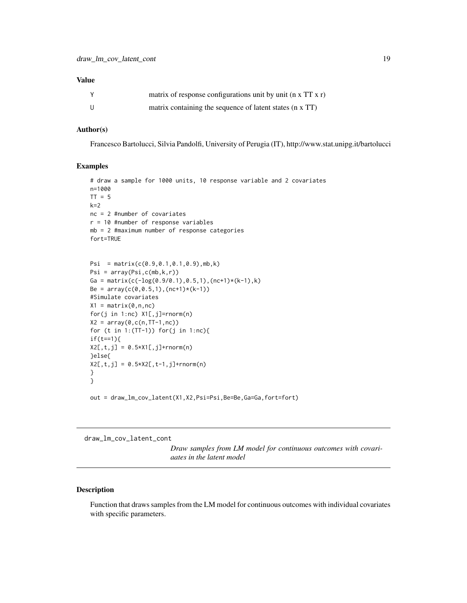#### <span id="page-18-0"></span>Value

|     | matrix of response configurations unit by unit $(n \times TT \times r)$ |
|-----|-------------------------------------------------------------------------|
| - U | matrix containing the sequence of latent states (n x TT)                |

## Author(s)

Francesco Bartolucci, Silvia Pandolfi, University of Perugia (IT), http://www.stat.unipg.it/bartolucci

#### Examples

```
# draw a sample for 1000 units, 10 response variable and 2 covariates
n=1000
TT = 5k=2nc = 2 #number of covariates
r = 10 #number of response variables
mb = 2 #maximum number of response categories
fort=TRUE
```

```
Psi = matrix(c(0.9,0.1,0.1,0.9),mb,k)
Psi = array(Psi,c(mb,k,r))
Ga = matrix(c(-\log(0.9/0.1),0.5,1),(nc+1)*(k-1),k)
Be = array(c(0, 0.5, 1), (nc+1)*(k-1))#Simulate covariates
X1 = matrix(0, n, nc)for(j in 1:nc) X1[,j]=rnorm(n)
X2 = array(0, c(n, TT-1, nc))for (t in 1:(TT-1)) for(j in 1:nc){
if(t==1){
X2[, t, j] = 0.5*X1[, j]+rnorm(n)}else{
X2[, t, j] = 0.5*X2[, t-1, j]+rnorm(n)}
}
```
out = draw\_lm\_cov\_latent(X1,X2,Psi=Psi,Be=Be,Ga=Ga,fort=fort)

draw\_lm\_cov\_latent\_cont

*Draw samples from LM model for continuous outcomes with covariaates in the latent model*

#### Description

Function that draws samples from the LM model for continuous outcomes with individual covariates with specific parameters.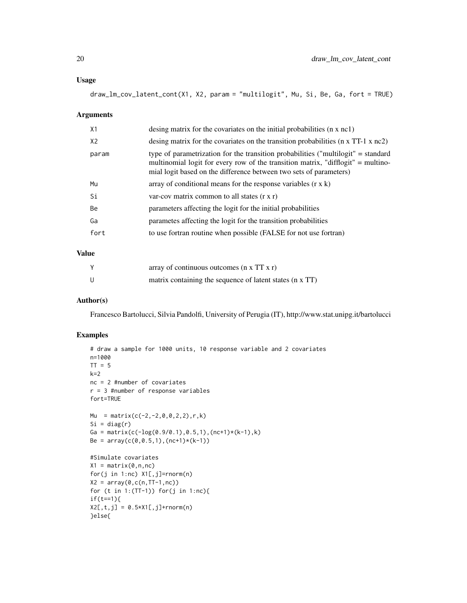#### Usage

draw\_lm\_cov\_latent\_cont(X1, X2, param = "multilogit", Mu, Si, Be, Ga, fort = TRUE)

#### Arguments

| X1             | desing matrix for the covariates on the initial probabilities $(n \times n c)$                                                                                                                                                              |
|----------------|---------------------------------------------------------------------------------------------------------------------------------------------------------------------------------------------------------------------------------------------|
| X <sub>2</sub> | desing matrix for the covariates on the transition probabilities $(n \times TT-1 \times nc2)$                                                                                                                                               |
| param          | type of parametrization for the transition probabilities ("multilogit" = standard<br>multinomial logit for every row of the transition matrix, "difflogit" = multino-<br>mial logit based on the difference between two sets of parameters) |
| Mu             | array of conditional means for the response variables $(r \times k)$                                                                                                                                                                        |
| Si             | var-cov matrix common to all states $(r x r)$                                                                                                                                                                                               |
| Be             | parameters affecting the logit for the initial probabilities                                                                                                                                                                                |
| Ga             | parametes affecting the logit for the transition probabilities                                                                                                                                                                              |
| fort           | to use fortran routine when possible (FALSE for not use fortran)                                                                                                                                                                            |
|                |                                                                                                                                                                                                                                             |

#### Value

|              | array of continuous outcomes $(n \times TT \times r)$    |
|--------------|----------------------------------------------------------|
| $\mathbf{U}$ | matrix containing the sequence of latent states (n x TT) |

#### Author(s)

Francesco Bartolucci, Silvia Pandolfi, University of Perugia (IT), http://www.stat.unipg.it/bartolucci

### Examples

```
# draw a sample for 1000 units, 10 response variable and 2 covariates
n=1000
TT = 5k=2nc = 2 #number of covariates
r = 3 #number of response variables
fort=TRUE
Mu = matrix(c(-2,-2,0,0,2,2), r, k)
Si = diag(r)Ga = matrix(c(-\log(0.9/0.1),0.5,1),(nc+1)*(k-1),k)
Be = array(c(0, 0.5, 1), (nc+1)*(k-1))#Simulate covariates
X1 = matrix(0, n, nc)for(j in 1:nc) X1[,j]=rnorm(n)
X2 = array(0, c(n, TT-1, nc))for (t in 1:(TT-1)) for(j in 1:nc){
if(t==1){
X2[, t,j] = 0.5*X1[, j] + \text{norm}(n)}else{
```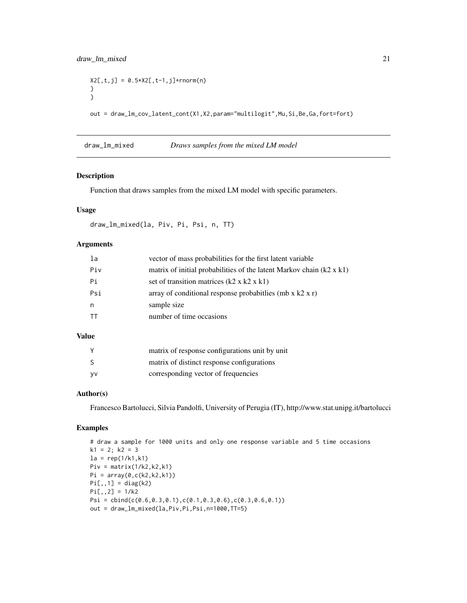```
X2[, t,j] = 0.5 \times X2[, t-1,j] + \text{rnorm}(n)}
}
out = draw_lm_cov_latent_cont(X1,X2,param="multilogit",Mu,Si,Be,Ga,fort=fort)
```
draw\_lm\_mixed *Draws samples from the mixed LM model*

#### Description

Function that draws samples from the mixed LM model with specific parameters.

#### Usage

```
draw_lm_mixed(la, Piv, Pi, Psi, n, TT)
```
#### Arguments

| la  | vector of mass probabilities for the first latent variable                  |
|-----|-----------------------------------------------------------------------------|
| Piv | matrix of initial probabilities of the latent Markov chain $(k2 \times k1)$ |
| Рi  | set of transition matrices $(k2 \times k2 \times k1)$                       |
| Psi | array of conditional response probabit lies (mb $x$ k2 $x$ r)               |
| n   | sample size                                                                 |
| TT  | number of time occasions                                                    |

#### Value

|           | matrix of response configurations unit by unit |
|-----------|------------------------------------------------|
| -S        | matrix of distinct response configurations     |
| <b>VV</b> | corresponding vector of frequencies            |

## Author(s)

Francesco Bartolucci, Silvia Pandolfi, University of Perugia (IT), http://www.stat.unipg.it/bartolucci

#### Examples

```
# draw a sample for 1000 units and only one response variable and 5 time occasions
k1 = 2; k2 = 3la = rep(1/k1, k1)Piv = matrix(1/k2, k2, k1)Pi = array(0,c(k2,k2,k1))
Pi[,,1] = diag(k2)Pi[,, 2] = 1/k2Psi = \text{cbind}(c(0.6, 0.3, 0.1), c(0.1, 0.3, 0.6), c(0.3, 0.6, 0.1))out = draw_lm_mixed(la,Piv,Pi,Psi,n=1000,TT=5)
```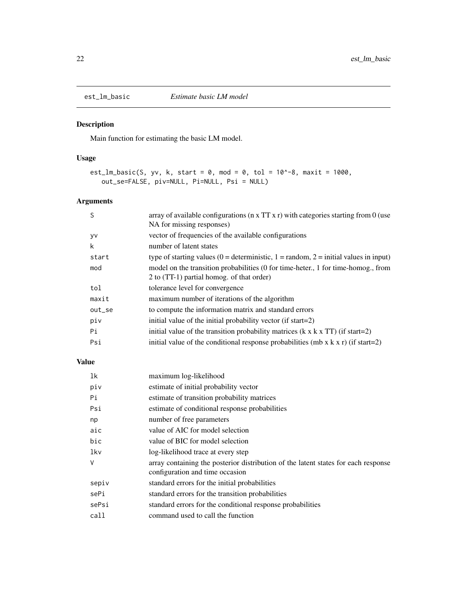Main function for estimating the basic LM model.

### Usage

```
est_lm_basic(S, yv, k, start = 0, mod = 0, tol = 10^{\circ}-8, maxit = 1000,
   out_se=FALSE, piv=NULL, Pi=NULL, Psi = NULL)
```
## Arguments

| S      | array of available configurations ( $n \times TT \times r$ ) with categories starting from 0 (use |
|--------|---------------------------------------------------------------------------------------------------|
|        | NA for missing responses)                                                                         |
| y٧     | vector of frequencies of the available configurations                                             |
| k      | number of latent states                                                                           |
| start  | type of starting values (0 = deterministic, 1 = random, 2 = initial values in input)              |
| mod    | model on the transition probabilities (0 for time-heter., 1 for time-homog., from                 |
|        | 2 to (TT-1) partial homog. of that order)                                                         |
| tol    | tolerance level for convergence                                                                   |
| maxit  | maximum number of iterations of the algorithm                                                     |
| out_se | to compute the information matrix and standard errors                                             |
| piv    | initial value of the initial probability vector (if start=2)                                      |
| Pi     | initial value of the transition probability matrices $(k \times k \times TT)$ (if start=2)        |
| Psi    | initial value of the conditional response probabilities (mb x $k \times r$ ) (if start=2)         |
|        |                                                                                                   |

#### Value

| 1k    | maximum log-likelihood                                                                                                |
|-------|-----------------------------------------------------------------------------------------------------------------------|
| piv   | estimate of initial probability vector                                                                                |
| Pi    | estimate of transition probability matrices                                                                           |
| Psi   | estimate of conditional response probabilities                                                                        |
| np    | number of free parameters                                                                                             |
| aic   | value of AIC for model selection                                                                                      |
| bic   | value of BIC for model selection                                                                                      |
| lkv   | log-likelihood trace at every step                                                                                    |
| V     | array containing the posterior distribution of the latent states for each response<br>configuration and time occasion |
| sepiv | standard errors for the initial probabilities                                                                         |
| sePi  | standard errors for the transition probabilities                                                                      |
| sePsi | standard errors for the conditional response probabilities                                                            |
| call  | command used to call the function                                                                                     |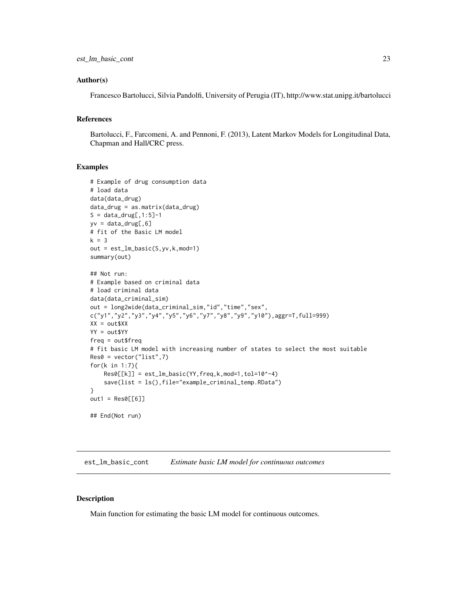#### <span id="page-22-0"></span>Author(s)

Francesco Bartolucci, Silvia Pandolfi, University of Perugia (IT), http://www.stat.unipg.it/bartolucci

## References

Bartolucci, F., Farcomeni, A. and Pennoni, F. (2013), Latent Markov Models for Longitudinal Data, Chapman and Hall/CRC press.

#### Examples

```
# Example of drug consumption data
# load data
data(data_drug)
data_drug = as.matrix(data_drug)
S = data_drug[, 1:5]-1yv = data_drug[, 6]# fit of the Basic LM model
k = 3out = est_lm_basic(S,yv,k,mod=1)
summary(out)
## Not run:
# Example based on criminal data
# load criminal data
data(data_criminal_sim)
out = long2wide(data_criminal_sim,"id","time","sex",
c("y1","y2","y3","y4","y5","y6","y7","y8","y9","y10"),aggr=T,full=999)
XX = out$XX
YY = out$YY
freq = out$freq
# fit basic LM model with increasing number of states to select the most suitable
Res0 = vector("list",7)
for(k in 1:7){
    Res@[[k]] = est_lm_basic(YY, freq, k, mod=1, tol=10^{\wedge}-4)save(list = ls(),file="example_criminal_temp.RData")
}
out1 = Res0[[6]]## End(Not run)
```
est\_lm\_basic\_cont *Estimate basic LM model for continuous outcomes*

#### Description

Main function for estimating the basic LM model for continuous outcomes.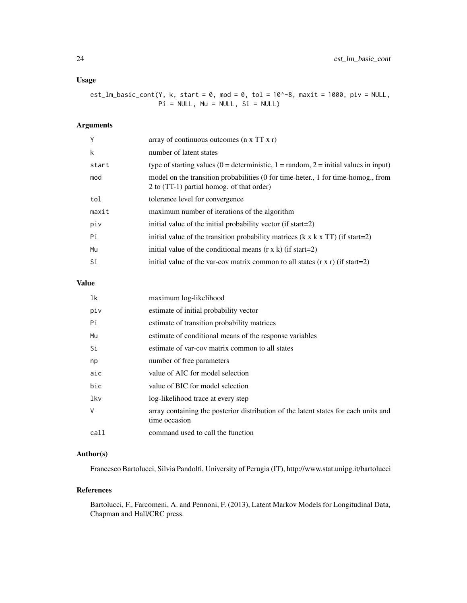#### Usage

est\_lm\_basic\_cont(Y, k, start = 0, mod = 0, tol = 10^-8, maxit = 1000, piv = NULL,  $Pi = NULL, Mu = NULL, Si = NULL)$ 

## Arguments

| Υ     | array of continuous outcomes ( $n \times TT \times r$ )                                                                        |
|-------|--------------------------------------------------------------------------------------------------------------------------------|
| k     | number of latent states                                                                                                        |
| start | type of starting values (0 = deterministic, 1 = random, 2 = initial values in input)                                           |
| mod   | model on the transition probabilities (0 for time-heter., 1 for time-homog., from<br>2 to (TT-1) partial homog. of that order) |
| tol   | tolerance level for convergence                                                                                                |
| maxit | maximum number of iterations of the algorithm                                                                                  |
| piv   | initial value of the initial probability vector (if start=2)                                                                   |
| Pi    | initial value of the transition probability matrices $(k \times k \times TT)$ (if start=2)                                     |
| Mu    | initial value of the conditional means $(r \times k)$ (if start=2)                                                             |
| Si    | initial value of the var-cov matrix common to all states $(r \times r)$ (if start=2)                                           |

#### Value

## lk maximum log-likelihood piv estimate of initial probability vector Pi estimate of transition probability matrices Mu estimate of conditional means of the response variables Si estimate of var-cov matrix common to all states np number of free parameters aic value of AIC for model selection bic value of BIC for model selection lkv log-likelihood trace at every step V array containing the posterior distribution of the latent states for each units and time occasion call command used to call the function

#### Author(s)

Francesco Bartolucci, Silvia Pandolfi, University of Perugia (IT), http://www.stat.unipg.it/bartolucci

#### References

Bartolucci, F., Farcomeni, A. and Pennoni, F. (2013), Latent Markov Models for Longitudinal Data, Chapman and Hall/CRC press.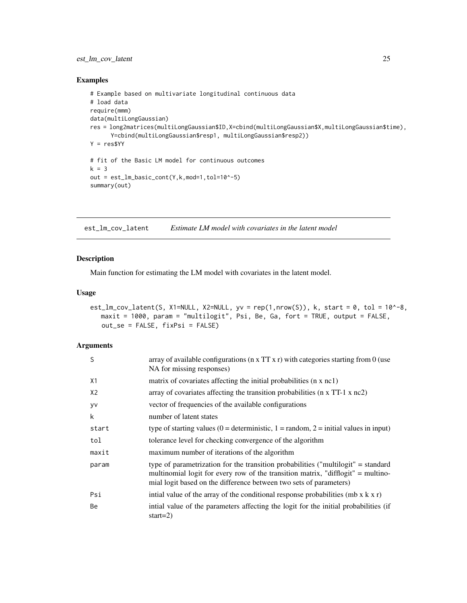### <span id="page-24-0"></span>est\_lm\_cov\_latent 25

#### Examples

```
# Example based on multivariate longitudinal continuous data
# load data
require(mmm)
data(multiLongGaussian)
res = long2matrices(multiLongGaussian$ID,X=cbind(multiLongGaussian$X,multiLongGaussian$time),
      Y=cbind(multiLongGaussian$resp1, multiLongGaussian$resp2))
Y = res$YY
# fit of the Basic LM model for continuous outcomes
k = 3out = est_lm_basic_cont(Y,k,mod=1,tol=10^-5)
summary(out)
```
est\_lm\_cov\_latent *Estimate LM model with covariates in the latent model*

#### Description

Main function for estimating the LM model with covariates in the latent model.

## Usage

```
est_lm_cov_latent(S, X1=NULL, X2=NULL, yv = rep(1,nrow(S)), k, start = 0, tol = 10^{\circ}-8,
  maxit = 1000, param = "multilogit", Psi, Be, Ga, fort = TRUE, output = FALSE,
   out_se = FALSE, fixPsi = FALSE)
```

| S              | array of available configurations ( $n \times TT \times r$ ) with categories starting from 0 (use<br>NA for missing responses)                                                                                                              |
|----------------|---------------------------------------------------------------------------------------------------------------------------------------------------------------------------------------------------------------------------------------------|
| X1             | matrix of covariates affecting the initial probabilities (n x nc1)                                                                                                                                                                          |
| X <sub>2</sub> | array of covariates affecting the transition probabilities ( $n \times TT-1 \times nc2$ )                                                                                                                                                   |
| <b>VV</b>      | vector of frequencies of the available configurations                                                                                                                                                                                       |
| k              | number of latent states                                                                                                                                                                                                                     |
| start          | type of starting values (0 = deterministic, 1 = random, 2 = initial values in input)                                                                                                                                                        |
| tol            | tolerance level for checking convergence of the algorithm                                                                                                                                                                                   |
| maxit          | maximum number of iterations of the algorithm                                                                                                                                                                                               |
| param          | type of parametrization for the transition probabilities ("multilogit" = standard<br>multinomial logit for every row of the transition matrix, "difflogit" = multino-<br>mial logit based on the difference between two sets of parameters) |
| Psi            | initial value of the array of the conditional response probabilities (mb $x k x r$ )                                                                                                                                                        |
| Be             | initial value of the parameters affecting the logit for the initial probabilities (if<br>start= $2)$                                                                                                                                        |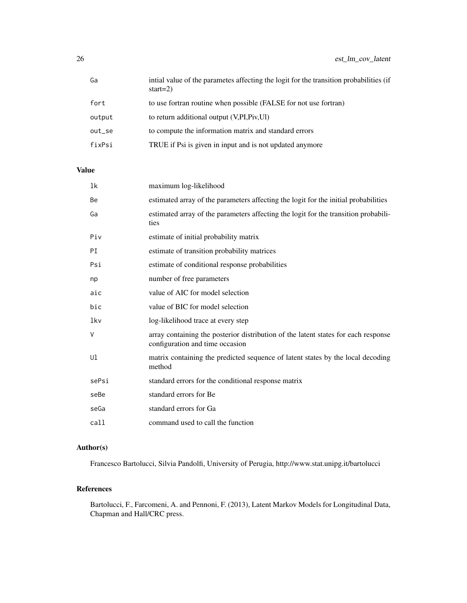| Ga     | initial value of the parametes affecting the logit for the transition probabilities (if<br>start= $2)$ |
|--------|--------------------------------------------------------------------------------------------------------|
| fort   | to use fortran routine when possible (FALSE for not use fortran)                                       |
| output | to return additional output (V, PI, Piv, Ul)                                                           |
| out_se | to compute the information matrix and standard errors                                                  |
| fixPsi | TRUE if Psi is given in input and is not updated anymore                                               |

## Value

| 1k    | maximum log-likelihood                                                                                                |
|-------|-----------------------------------------------------------------------------------------------------------------------|
| Be    | estimated array of the parameters affecting the logit for the initial probabilities                                   |
| Ga    | estimated array of the parameters affecting the logit for the transition probabili-<br>ties                           |
| Piv   | estimate of initial probability matrix                                                                                |
| PI    | estimate of transition probability matrices                                                                           |
| Psi   | estimate of conditional response probabilities                                                                        |
| np    | number of free parameters                                                                                             |
| aic   | value of AIC for model selection                                                                                      |
| bic   | value of BIC for model selection                                                                                      |
| lkv   | log-likelihood trace at every step                                                                                    |
| V     | array containing the posterior distribution of the latent states for each response<br>configuration and time occasion |
| Ul    | matrix containing the predicted sequence of latent states by the local decoding<br>method                             |
| sePsi | standard errors for the conditional response matrix                                                                   |
| seBe  | standard errors for Be                                                                                                |
| seGa  | standard errors for Ga                                                                                                |
| call  | command used to call the function                                                                                     |

## Author(s)

Francesco Bartolucci, Silvia Pandolfi, University of Perugia, http://www.stat.unipg.it/bartolucci

## References

Bartolucci, F., Farcomeni, A. and Pennoni, F. (2013), Latent Markov Models for Longitudinal Data, Chapman and Hall/CRC press.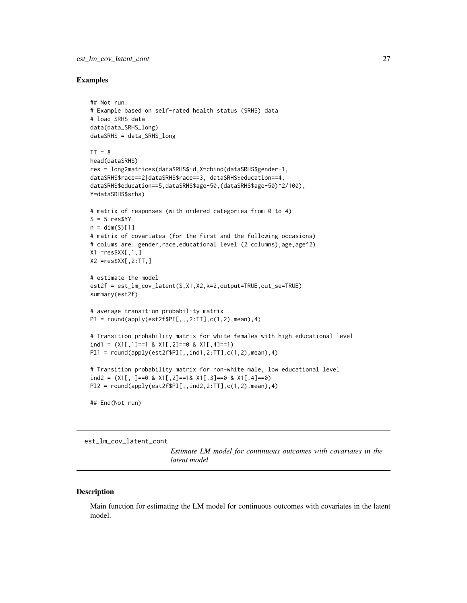#### <span id="page-26-0"></span>Examples

```
## Not run:
# Example based on self-rated health status (SRHS) data
# load SRHS data
data(data_SRHS_long)
dataSRHS = data_SRHS_long
TT = 8head(dataSRHS)
res = long2matrices(dataSRHS$id,X=cbind(dataSRHS$gender-1,
dataSRHS$race==2|dataSRHS$race==3, dataSRHS$education==4,
dataSRHS$education==5,dataSRHS$age-50,(dataSRHS$age-50)^2/100),
Y=dataSRHS$srhs)
# matrix of responses (with ordered categories from 0 to 4)
S = 5-res$YY
n = \dim(S)[1]# matrix of covariates (for the first and the following occasions)
# colums are: gender, race, educational level (2 columns), age, age^2)
X1 = \text{res}XX[\,1,1]X2 = \text{res}XX[, 2:TT, ]# estimate the model
est2f = est_lm_cov_latent(S,X1,X2,k=2,output=TRUE,out_se=TRUE)
summary(est2f)
# average transition probability matrix
PI = round(apply(est2f$PI[,, 2:TT], c(1,2), mean), 4)# Transition probability matrix for white females with high educational level
ind1 = (X1[, 1]=1 & X1[, 2]=0 & X1[, 4]=1)
PI1 = round(aply(est2f$PI[,,ind1,2:TT],c(1,2),mean),4)# Transition probability matrix for non-white male, low educational level
ind2 = (X1[,1]==0 & X1[,2]==1& X1[,3]==0 & X1[,4]==0)
PI2 = round(apply(est2f$PI[,,ind2,2:TT],c(1,2),mean),4)
## End(Not run)
```
est\_lm\_cov\_latent\_cont

*Estimate LM model for continuous outcomes with covariates in the latent model*

#### Description

Main function for estimating the LM model for continuous outcomes with covariates in the latent model.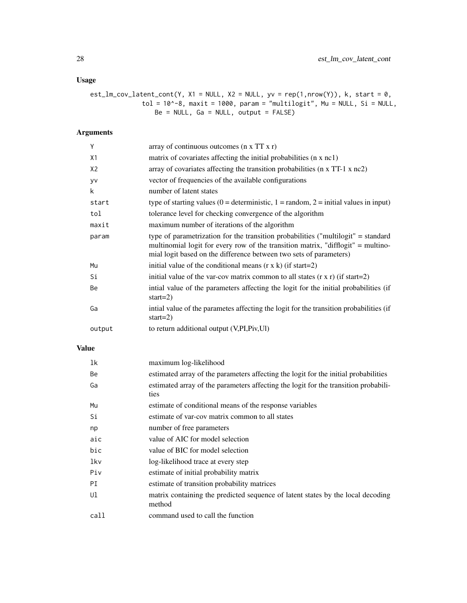## Usage

```
est_lm_cov_latent_cont(Y, X1 = NULL, X2 = NULL, yv = rep(1,nrow(Y)), k, start = 0,
              tol = 10^{\circ}-8, maxit = 1000, param = "multilogit", Mu = NULL, Si = NULL,
                  Be = NULL, Ga = NULL, output = FALSE)
```
## Arguments

| Y              | array of continuous outcomes $(n \times TT \times r)$                                                                                                                                                                                       |
|----------------|---------------------------------------------------------------------------------------------------------------------------------------------------------------------------------------------------------------------------------------------|
| X1             | matrix of covariates affecting the initial probabilities (n x nc1)                                                                                                                                                                          |
| X <sub>2</sub> | array of covariates affecting the transition probabilities (n x TT-1 x nc2)                                                                                                                                                                 |
| <b>VV</b>      | vector of frequencies of the available configurations                                                                                                                                                                                       |
| k              | number of latent states                                                                                                                                                                                                                     |
| start          | type of starting values ( $0 =$ deterministic, $1 =$ random, $2 =$ initial values in input)                                                                                                                                                 |
| tol            | tolerance level for checking convergence of the algorithm                                                                                                                                                                                   |
| maxit          | maximum number of iterations of the algorithm                                                                                                                                                                                               |
| param          | type of parametrization for the transition probabilities ("multilogit" = standard<br>multinomial logit for every row of the transition matrix, "difflogit" = multino-<br>mial logit based on the difference between two sets of parameters) |
| Mu             | initial value of the conditional means $(r \times k)$ (if start=2)                                                                                                                                                                          |
| Si             | initial value of the var-cov matrix common to all states $(r \times r)$ (if start=2)                                                                                                                                                        |
| Be             | intial value of the parameters affecting the logit for the initial probabilities (if<br>start= $2)$                                                                                                                                         |
| Ga             | intial value of the parametes affecting the logit for the transition probabilities (if<br>start= $2)$                                                                                                                                       |
| output         | to return additional output (V, PI, Piv, UI)                                                                                                                                                                                                |

## Value

| 1k   | maximum log-likelihood                                                                      |
|------|---------------------------------------------------------------------------------------------|
| Be   | estimated array of the parameters affecting the logit for the initial probabilities         |
| Ga   | estimated array of the parameters affecting the logit for the transition probabili-<br>ties |
| Mu   | estimate of conditional means of the response variables                                     |
| Si   | estimate of var-cov matrix common to all states                                             |
| np   | number of free parameters                                                                   |
| aic  | value of AIC for model selection                                                            |
| bic  | value of BIC for model selection                                                            |
| lkv  | log-likelihood trace at every step                                                          |
| Piv  | estimate of initial probability matrix                                                      |
| PI   | estimate of transition probability matrices                                                 |
| Ul   | matrix containing the predicted sequence of latent states by the local decoding<br>method   |
| call | command used to call the function                                                           |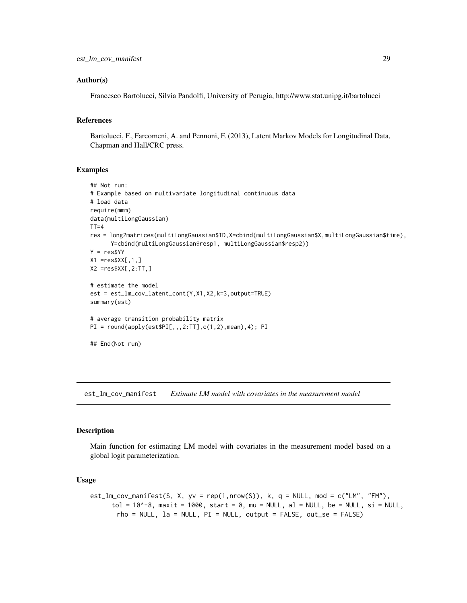#### <span id="page-28-0"></span>Author(s)

Francesco Bartolucci, Silvia Pandolfi, University of Perugia, http://www.stat.unipg.it/bartolucci

#### References

Bartolucci, F., Farcomeni, A. and Pennoni, F. (2013), Latent Markov Models for Longitudinal Data, Chapman and Hall/CRC press.

#### Examples

```
## Not run:
# Example based on multivariate longitudinal continuous data
# load data
require(mmm)
data(multiLongGaussian)
TT=4res = long2matrices(multiLongGaussian$ID,X=cbind(multiLongGaussian$X,multiLongGaussian$time),
      Y=cbind(multiLongGaussian$resp1, multiLongGaussian$resp2))
Y = res$YY
X1 = res$XX[, 1, ]X2 = res$XX[, 2:TT, ]# estimate the model
est = est_lm_cov_latent_cont(Y,X1,X2,k=3,output=TRUE)
summary(est)
# average transition probability matrix
PI = round(apply(est$PI[,, 2:TT], c(1,2), mean), 4); PI## End(Not run)
```
est\_lm\_cov\_manifest *Estimate LM model with covariates in the measurement model*

#### Description

Main function for estimating LM model with covariates in the measurement model based on a global logit parameterization.

#### Usage

```
est_lm_cov_manifest(S, X, yv = rep(1,nrow(S)), k, q = NULL, mod = c("LM", "FM"),
      tol = 10^{\circ}-8, maxit = 1000, start = 0, mu = NULL, al = NULL, be = NULL, si = NULL,
       rho = NULL, la = NULL, PI = NULL, output = FALSE, out_se = FALSE)
```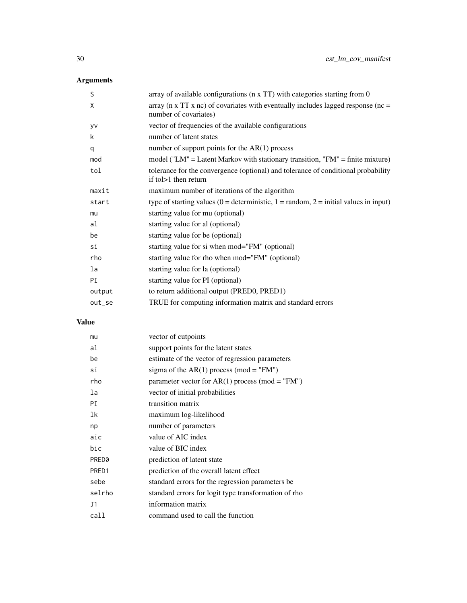## Arguments

| S      | array of available configurations (n x TT) with categories starting from 0                                                 |
|--------|----------------------------------------------------------------------------------------------------------------------------|
| X      | array ( $n \times TT \times nc$ ) of covariates with eventually includes lagged response ( $nc =$<br>number of covariates) |
| yv     | vector of frequencies of the available configurations                                                                      |
| k      | number of latent states                                                                                                    |
| q      | number of support points for the $AR(1)$ process                                                                           |
| mod    | model ("LM" = Latent Markov with stationary transition, "FM" = finite mixture)                                             |
| tol    | tolerance for the convergence (optional) and tolerance of conditional probability<br>if to $>1$ then return                |
| maxit  | maximum number of iterations of the algorithm                                                                              |
| start  | type of starting values ( $0 =$ deterministic, $1 =$ random, $2 =$ initial values in input)                                |
| mu     | starting value for mu (optional)                                                                                           |
| al     | starting value for al (optional)                                                                                           |
| be     | starting value for be (optional)                                                                                           |
| si     | starting value for si when mod="FM" (optional)                                                                             |
| rho    | starting value for rho when mod="FM" (optional)                                                                            |
| la     | starting value for la (optional)                                                                                           |
| PI     | starting value for PI (optional)                                                                                           |
| output | to return additional output (PRED0, PRED1)                                                                                 |
| out_se | TRUE for computing information matrix and standard errors                                                                  |

## Value

| mu     | vector of cutpoints                                  |
|--------|------------------------------------------------------|
| al     | support points for the latent states                 |
| be     | estimate of the vector of regression parameters      |
| si     | sigma of the AR(1) process (mod = "FM")              |
| rho    | parameter vector for AR(1) process (mod = "FM")      |
| la     | vector of initial probabilities                      |
| РI     | transition matrix                                    |
| 1k     | maximum log-likelihood                               |
| np     | number of parameters                                 |
| aic    | value of AIC index                                   |
| bic    | value of BIC index                                   |
| PRED0  | prediction of latent state                           |
| PRED1  | prediction of the overall latent effect              |
| sebe   | standard errors for the regression parameters be     |
| selrho | standard errors for logit type transformation of rho |
| J1     | information matrix                                   |
| call   | command used to call the function                    |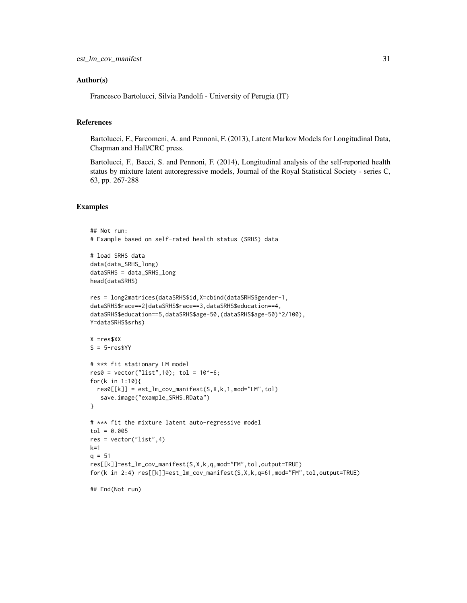#### Author(s)

Francesco Bartolucci, Silvia Pandolfi - University of Perugia (IT)

#### References

Bartolucci, F., Farcomeni, A. and Pennoni, F. (2013), Latent Markov Models for Longitudinal Data, Chapman and Hall/CRC press.

Bartolucci, F., Bacci, S. and Pennoni, F. (2014), Longitudinal analysis of the self-reported health status by mixture latent autoregressive models, Journal of the Royal Statistical Society - series C, 63, pp. 267-288

#### Examples

```
## Not run:
# Example based on self-rated health status (SRHS) data
# load SRHS data
data(data_SRHS_long)
dataSRHS = data_SRHS_long
head(dataSRHS)
res = long2matrices(dataSRHS$id,X=cbind(dataSRHS$gender-1,
dataSRHS$race==2|dataSRHS$race==3,dataSRHS$education==4,
dataSRHS$education==5,dataSRHS$age-50,(dataSRHS$age-50)^2/100),
Y=dataSRHS$srhs)
X =res$XX
S = 5-res$YY
# *** fit stationary LM model
res0 = vector("list", 10); tol = 10^(-6);for(k in 1:10){
  res0[[k]] = est_lm_cov_manifest(S,X,k,1,mod="LM",tol)
   save.image("example_SRHS.RData")
}
# *** fit the mixture latent auto-regressive model
tol = 0.005res = vector("list",4)
k=1q = 51res[[k]]=est_lm_cov_manifest(S,X,k,q,mod="FM",tol,output=TRUE)
for(k in 2:4) res[[k]]=est_lm_cov_manifest(S,X,k,q=61,mod="FM",tol,output=TRUE)
## End(Not run)
```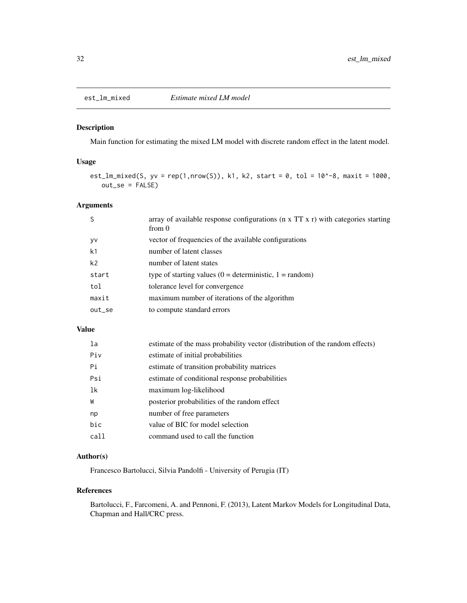<span id="page-31-0"></span>

Main function for estimating the mixed LM model with discrete random effect in the latent model.

#### Usage

est\_lm\_mixed(S, yv = rep(1,nrow(S)), k1, k2, start = 0, tol =  $10^{\circ}$ -8, maxit = 1000, out\_se = FALSE)

### Arguments

| S      | array of available response configurations ( $n \times TT \times r$ ) with categories starting<br>from 0 |
|--------|----------------------------------------------------------------------------------------------------------|
| yv     | vector of frequencies of the available configurations                                                    |
| k1     | number of latent classes                                                                                 |
| k2     | number of latent states                                                                                  |
| start  | type of starting values $(0 =$ deterministic, $1 =$ random)                                              |
| tol    | tolerance level for convergence                                                                          |
| maxit  | maximum number of iterations of the algorithm                                                            |
| out_se | to compute standard errors                                                                               |
|        |                                                                                                          |

#### Value

| la   | estimate of the mass probability vector (distribution of the random effects) |
|------|------------------------------------------------------------------------------|
| Piv  | estimate of initial probabilities                                            |
| Pi   | estimate of transition probability matrices                                  |
| Psi  | estimate of conditional response probabilities                               |
| 1k   | maximum log-likelihood                                                       |
| W    | posterior probabilities of the random effect                                 |
| np   | number of free parameters                                                    |
| bic  | value of BIC for model selection                                             |
| call | command used to call the function                                            |
|      |                                                                              |

#### Author(s)

Francesco Bartolucci, Silvia Pandolfi - University of Perugia (IT)

#### References

Bartolucci, F., Farcomeni, A. and Pennoni, F. (2013), Latent Markov Models for Longitudinal Data, Chapman and Hall/CRC press.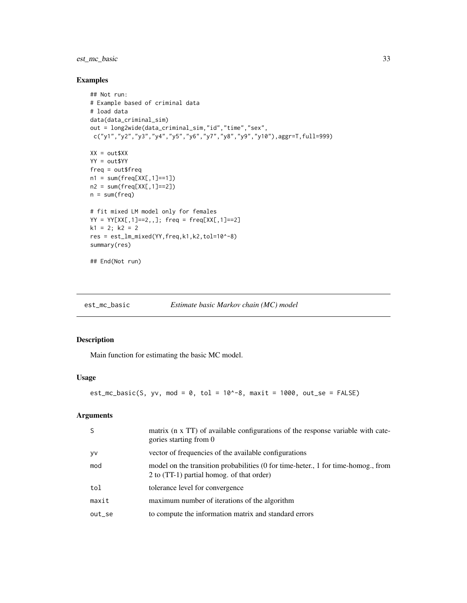### <span id="page-32-0"></span>est\_mc\_basic 33

#### Examples

```
## Not run:
# Example based of criminal data
# load data
data(data_criminal_sim)
out = long2wide(data_criminal_sim,"id","time","sex",
c("y1","y2","y3","y4","y5","y6","y7","y8","y9","y10"),aggr=T,full=999)
XX = out$XX
YY = out$YY
freq = out$freq
n1 = sum(freq[XX[, 1] == 1])n2 = sum(freq[XX[, 1] == 2])n = sum(freq)# fit mixed LM model only for females
YY = YY[XX[,1]==2,,]; freq = freq[XX[,1]==2]
k1 = 2; k2 = 2res = est_lm_mixed(YY,freq,k1,k2,tol=10^-8)
summary(res)
## End(Not run)
```
est\_mc\_basic *Estimate basic Markov chain (MC) model*

## Description

Main function for estimating the basic MC model.

#### Usage

```
est_mc_basic(S, yv, mod = 0, tol = 10^8-8, maxit = 1000, out_se = FALSE)
```

| <sub>S</sub> | matrix (n x TT) of available configurations of the response variable with cate-<br>gories starting from 0                      |
|--------------|--------------------------------------------------------------------------------------------------------------------------------|
| yv           | vector of frequencies of the available configurations                                                                          |
| mod          | model on the transition probabilities (0 for time-heter., 1 for time-homog., from<br>2 to (TT-1) partial homog. of that order) |
| tol          | tolerance level for convergence                                                                                                |
| maxit        | maximum number of iterations of the algorithm                                                                                  |
| out_se       | to compute the information matrix and standard errors                                                                          |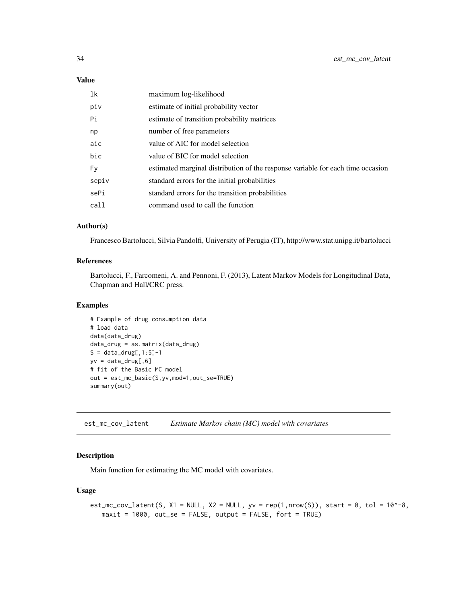#### Value

| 1k    | maximum log-likelihood                                                          |
|-------|---------------------------------------------------------------------------------|
| piv   | estimate of initial probability vector                                          |
| Pi    | estimate of transition probability matrices                                     |
| np    | number of free parameters                                                       |
| aic   | value of AIC for model selection                                                |
| bic   | value of BIC for model selection                                                |
| Fy    | estimated marginal distribution of the response variable for each time occasion |
| sepiv | standard errors for the initial probabilities                                   |
| sePi  | standard errors for the transition probabilities                                |
| call  | command used to call the function                                               |

#### Author(s)

Francesco Bartolucci, Silvia Pandolfi, University of Perugia (IT), http://www.stat.unipg.it/bartolucci

#### References

Bartolucci, F., Farcomeni, A. and Pennoni, F. (2013), Latent Markov Models for Longitudinal Data, Chapman and Hall/CRC press.

#### Examples

```
# Example of drug consumption data
# load data
data(data_drug)
data_drug = as.matrix(data_drug)
S = data_drug[, 1:5]-1yv = data_drug[, 6]# fit of the Basic MC model
out = est_mc_basic(S,yv,mod=1,out_se=TRUE)
summary(out)
```
est\_mc\_cov\_latent *Estimate Markov chain (MC) model with covariates*

#### Description

Main function for estimating the MC model with covariates.

## Usage

```
est_mc_cov_latent(S, X1 = NULL, X2 = NULL, yv = rep(1, nrow(S)), start = 0, tol = 10^-8,
  maxit = 1000, out\_se = FALSE, output = FALSE, fort = TRUE)
```
<span id="page-33-0"></span>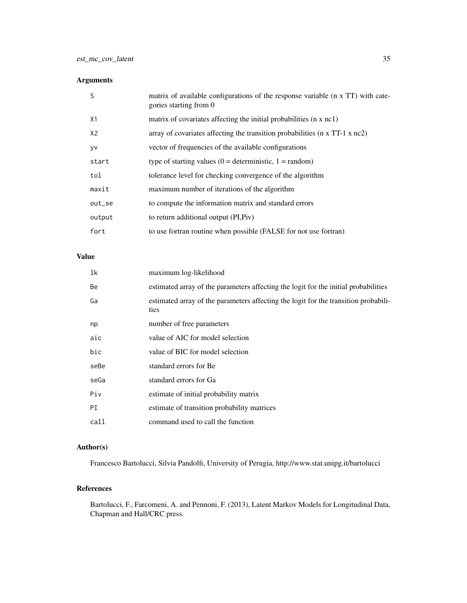## Arguments

| S      | matrix of available configurations of the response variable (n x TT) with cate-<br>gories starting from 0 |
|--------|-----------------------------------------------------------------------------------------------------------|
| X1     | matrix of covariates affecting the initial probabilities (n x nc1)                                        |
| X2     | array of covariates affecting the transition probabilities ( $n \times TT-1 \times nc2$ )                 |
| yv     | vector of frequencies of the available configurations                                                     |
| start  | type of starting values $(0 =$ deterministic, $1 =$ random)                                               |
| tol    | tolerance level for checking convergence of the algorithm                                                 |
| maxit  | maximum number of iterations of the algorithm                                                             |
| out_se | to compute the information matrix and standard errors                                                     |
| output | to return additional output (PI, Piv)                                                                     |
| fort   | to use fortran routine when possible (FALSE for not use fortran)                                          |

## Value

| 1k   | maximum log-likelihood                                                                      |
|------|---------------------------------------------------------------------------------------------|
| Be   | estimated array of the parameters affecting the logit for the initial probabilities         |
| Ga   | estimated array of the parameters affecting the logit for the transition probabili-<br>ties |
| np   | number of free parameters                                                                   |
| aic  | value of AIC for model selection                                                            |
| bic  | value of BIC for model selection                                                            |
| seBe | standard errors for Be                                                                      |
| seGa | standard errors for Ga                                                                      |
| Piv  | estimate of initial probability matrix                                                      |
| PI   | estimate of transition probability matrices                                                 |
| call | command used to call the function                                                           |

### Author(s)

Francesco Bartolucci, Silvia Pandolfi, University of Perugia, http://www.stat.unipg.it/bartolucci

## References

Bartolucci, F., Farcomeni, A. and Pennoni, F. (2013), Latent Markov Models for Longitudinal Data, Chapman and Hall/CRC press.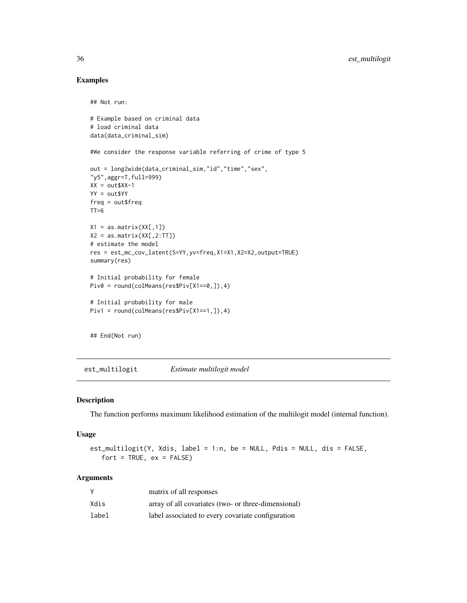#### Examples

## Not run:

```
# Example based on criminal data
# load criminal data
data(data_criminal_sim)
#We consider the response variable referring of crime of type 5
out = long2wide(data_criminal_sim,"id","time","sex",
"y5",aggr=T,full=999)
XX = out$XX-1YY = out$YY
freq = out$freq
TT=6X1 = as_matrix(XX[, 1])X2 = as_matrix(XX[, 2:TT])# estimate the model
res = est_mc_cov_latent(S=YY,yv=freq,X1=X1,X2=X2,output=TRUE)
summary(res)
# Initial probability for female
Piv0 = round(colMeans(res$Piv[X1==0,]),4)
# Initial probability for male
Piv1 = round(colMeans(res$Piv[X1==1,]),4)
```
## End(Not run)

est\_multilogit *Estimate multilogit model*

#### Description

The function performs maximum likelihood estimation of the multilogit model (internal function).

#### Usage

```
est_multilogit(Y, Xdis, label = 1:n, be = NULL, Pdis = NULL, dis = FALSE,
   fort = TRUE, ex = FALSE)
```

|       | matrix of all responses                             |
|-------|-----------------------------------------------------|
| Xdis  | array of all covariates (two- or three-dimensional) |
| label | label associated to every covariate configuration   |

<span id="page-35-0"></span>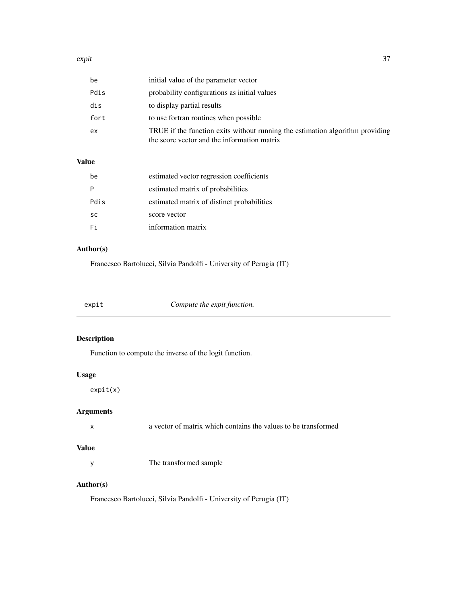#### <span id="page-36-0"></span>expit 37

| be   | initial value of the parameter vector                                                                                        |
|------|------------------------------------------------------------------------------------------------------------------------------|
| Pdis | probability configurations as initial values                                                                                 |
| dis  | to display partial results                                                                                                   |
| fort | to use fortran routines when possible                                                                                        |
| ex   | TRUE if the function exits without running the estimation algorithm providing<br>the score vector and the information matrix |

## Value

| be        | estimated vector regression coefficients   |
|-----------|--------------------------------------------|
|           | estimated matrix of probabilities          |
| Pdis      | estimated matrix of distinct probabilities |
| <b>SC</b> | score vector                               |
| Fi        | information matrix                         |

## Author(s)

Francesco Bartolucci, Silvia Pandolfi - University of Perugia (IT)

|  |  | expit |  |
|--|--|-------|--|
|--|--|-------|--|

Compute the expit function.

## Description

Function to compute the inverse of the logit function.

## Usage

expit(x)

## Arguments

| a vector of matrix which contains the values to be transformed |  |
|----------------------------------------------------------------|--|
|----------------------------------------------------------------|--|

## Value

y The transformed sample

### Author(s)

Francesco Bartolucci, Silvia Pandolfi - University of Perugia (IT)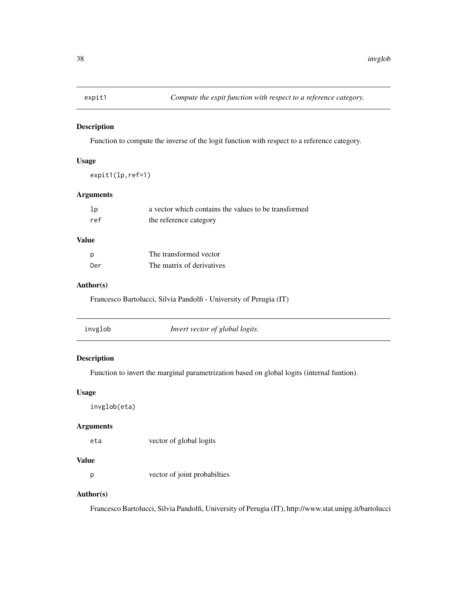<span id="page-37-0"></span>

Function to compute the inverse of the logit function with respect to a reference category.

#### Usage

expit1(lp,ref=1)

#### Arguments

| lp  | a vector which contains the values to be transformed |
|-----|------------------------------------------------------|
| ref | the reference category                               |

### Value

| p   | The transformed vector    |
|-----|---------------------------|
| Der | The matrix of derivatives |

#### Author(s)

Francesco Bartolucci, Silvia Pandolfi - University of Perugia (IT)

|--|

## Description

Function to invert the marginal parametrization based on global logits (internal funtion).

## Usage

```
invglob(eta)
```
#### Arguments

eta vector of global logits

#### Value

p vector of joint probabilties

## Author(s)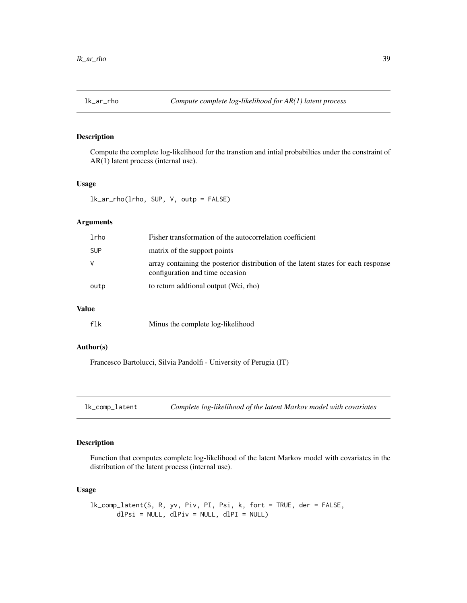<span id="page-38-0"></span>Compute the complete log-likelihood for the transtion and intial probabilties under the constraint of AR(1) latent process (internal use).

#### Usage

lk\_ar\_rho(lrho, SUP, V, outp = FALSE)

### Arguments

| lrho       | Fisher transformation of the autocorrelation coefficient                                                              |
|------------|-----------------------------------------------------------------------------------------------------------------------|
| <b>SUP</b> | matrix of the support points                                                                                          |
| V          | array containing the posterior distribution of the latent states for each response<br>configuration and time occasion |
| outp       | to return additional output (Wei, rho)                                                                                |
|            |                                                                                                                       |

#### Value

## Author(s)

Francesco Bartolucci, Silvia Pandolfi - University of Perugia (IT)

lk\_comp\_latent *Complete log-likelihood of the latent Markov model with covariates*

#### Description

Function that computes complete log-likelihood of the latent Markov model with covariates in the distribution of the latent process (internal use).

#### Usage

```
lk_comp_latent(S, R, yv, Piv, PI, Psi, k, fort = TRUE, der = FALSE,
      dlPsi = NULL, dlPiv = NULL, dlPI = NULL)
```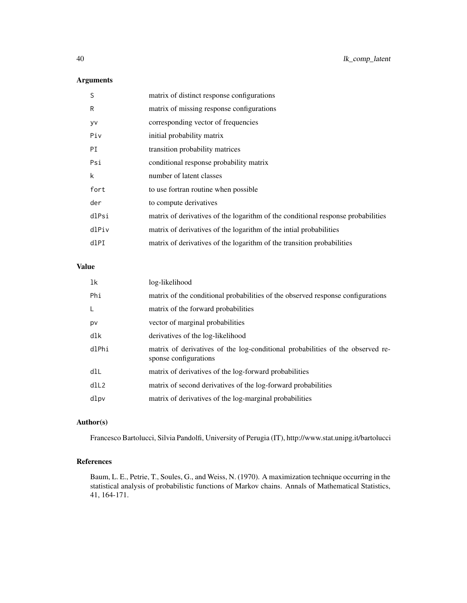## Arguments

| S     | matrix of distinct response configurations                                       |
|-------|----------------------------------------------------------------------------------|
| R     | matrix of missing response configurations                                        |
| yv    | corresponding vector of frequencies                                              |
| Piv   | initial probability matrix                                                       |
| PI    | transition probability matrices                                                  |
| Psi   | conditional response probability matrix                                          |
| k     | number of latent classes                                                         |
| fort  | to use fortran routine when possible                                             |
| der   | to compute derivatives                                                           |
| dlPsi | matrix of derivatives of the logarithm of the conditional response probabilities |
| dlPiv | matrix of derivatives of the logarithm of the initial probabilities              |
| dlPI  | matrix of derivatives of the logarithm of the transition probabilities           |

## Value

| 1k    | log-likelihood                                                                                          |
|-------|---------------------------------------------------------------------------------------------------------|
| Phi   | matrix of the conditional probabilities of the observed response configurations                         |
| -L    | matrix of the forward probabilities                                                                     |
| pv    | vector of marginal probabilities                                                                        |
| dlk   | derivatives of the log-likelihood                                                                       |
| dlPhi | matrix of derivatives of the log-conditional probabilities of the observed re-<br>sponse configurations |
| dlL   | matrix of derivatives of the log-forward probabilities                                                  |
| dIL2  | matrix of second derivatives of the log-forward probabilities                                           |
| dlpv  | matrix of derivatives of the log-marginal probabilities                                                 |

### Author(s)

Francesco Bartolucci, Silvia Pandolfi, University of Perugia (IT), http://www.stat.unipg.it/bartolucci

## References

Baum, L. E., Petrie, T., Soules, G., and Weiss, N. (1970). A maximization technique occurring in the statistical analysis of probabilistic functions of Markov chains. Annals of Mathematical Statistics, 41, 164-171.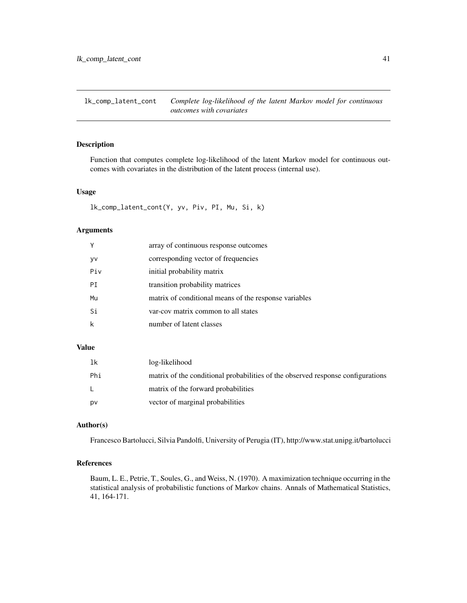<span id="page-40-0"></span>lk\_comp\_latent\_cont *Complete log-likelihood of the latent Markov model for continuous outcomes with covariates*

#### Description

Function that computes complete log-likelihood of the latent Markov model for continuous outcomes with covariates in the distribution of the latent process (internal use).

#### Usage

lk\_comp\_latent\_cont(Y, yv, Piv, PI, Mu, Si, k)

### Arguments

|           | array of continuous response outcomes                 |
|-----------|-------------------------------------------------------|
| <b>yv</b> | corresponding vector of frequencies                   |
| Piv       | initial probability matrix                            |
| PT.       | transition probability matrices                       |
| Mu        | matrix of conditional means of the response variables |
| Si        | var-cov matrix common to all states                   |
|           | number of latent classes                              |

#### Value

| 1k  | log-likelihood                                                                  |
|-----|---------------------------------------------------------------------------------|
| Phi | matrix of the conditional probabilities of the observed response configurations |
|     | matrix of the forward probabilities                                             |
| pv  | vector of marginal probabilities                                                |

#### Author(s)

Francesco Bartolucci, Silvia Pandolfi, University of Perugia (IT), http://www.stat.unipg.it/bartolucci

#### References

Baum, L. E., Petrie, T., Soules, G., and Weiss, N. (1970). A maximization technique occurring in the statistical analysis of probabilistic functions of Markov chains. Annals of Mathematical Statistics, 41, 164-171.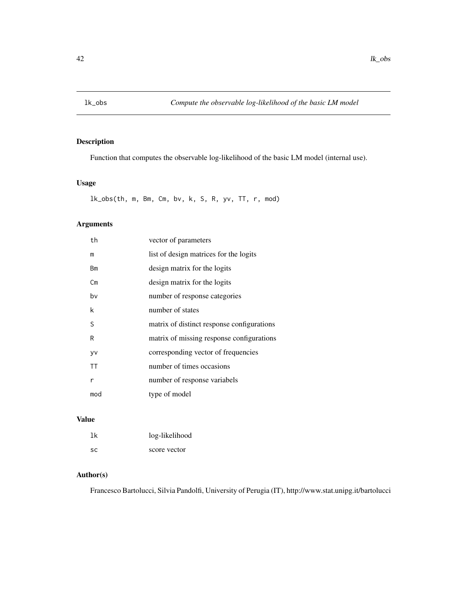<span id="page-41-0"></span>

Function that computes the observable log-likelihood of the basic LM model (internal use).

### Usage

lk\_obs(th, m, Bm, Cm, bv, k, S, R, yv, TT, r, mod)

## Arguments

| th        | vector of parameters                       |
|-----------|--------------------------------------------|
| m         | list of design matrices for the logits     |
| Bm        | design matrix for the logits               |
| Сm        | design matrix for the logits               |
| bv        | number of response categories              |
| k         | number of states                           |
| S         | matrix of distinct response configurations |
| R         | matrix of missing response configurations  |
| yv        | corresponding vector of frequencies        |
| <b>TT</b> | number of times occasions                  |
| r         | number of response variabels               |
| mod       | type of model                              |
|           |                                            |

## Value

| 1k  | log-likelihood |
|-----|----------------|
| -SC | score vector   |

### Author(s)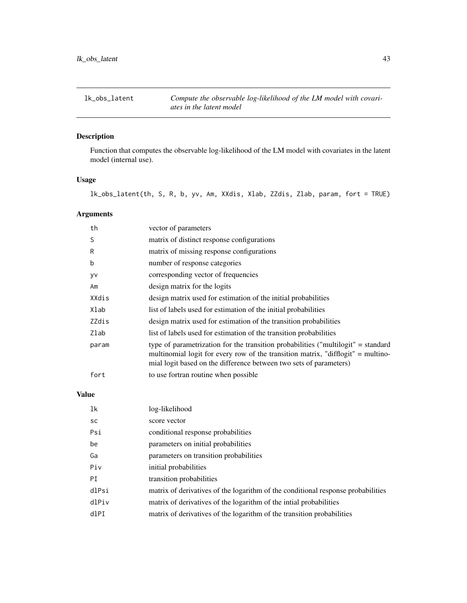<span id="page-42-0"></span>lk\_obs\_latent *Compute the observable log-likelihood of the LM model with covariates in the latent model*

## Description

Function that computes the observable log-likelihood of the LM model with covariates in the latent model (internal use).

## Usage

lk\_obs\_latent(th, S, R, b, yv, Am, XXdis, Xlab, ZZdis, Zlab, param, fort = TRUE)

## Arguments

| th    | vector of parameters                                                                                                                                                                                                                        |
|-------|---------------------------------------------------------------------------------------------------------------------------------------------------------------------------------------------------------------------------------------------|
| S     | matrix of distinct response configurations                                                                                                                                                                                                  |
| R     | matrix of missing response configurations                                                                                                                                                                                                   |
| b     | number of response categories                                                                                                                                                                                                               |
| yv    | corresponding vector of frequencies                                                                                                                                                                                                         |
| Am    | design matrix for the logits                                                                                                                                                                                                                |
| XXdis | design matrix used for estimation of the initial probabilities                                                                                                                                                                              |
| Xlab  | list of labels used for estimation of the initial probabilities                                                                                                                                                                             |
| ZZdis | design matrix used for estimation of the transition probabilities                                                                                                                                                                           |
| Zlab  | list of labels used for estimation of the transition probabilities                                                                                                                                                                          |
| param | type of parametrization for the transition probabilities ("multilogit" = standard<br>multinomial logit for every row of the transition matrix, "difflogit" = multino-<br>mial logit based on the difference between two sets of parameters) |
| fort  | to use fortran routine when possible                                                                                                                                                                                                        |

## Value

| lk    | log-likelihood                                                                   |
|-------|----------------------------------------------------------------------------------|
| sc    | score vector                                                                     |
| Psi   | conditional response probabilities                                               |
| be    | parameters on initial probabilities                                              |
| Ga    | parameters on transition probabilities                                           |
| Piv   | initial probabilities                                                            |
| PI    | transition probabilities                                                         |
| dlPsi | matrix of derivatives of the logarithm of the conditional response probabilities |
| dlPiv | matrix of derivatives of the logarithm of the intial probabilities               |
| dlPI  | matrix of derivatives of the logarithm of the transition probabilities           |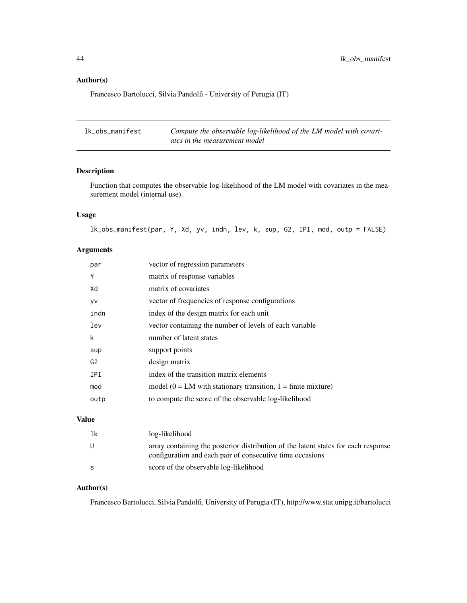#### Author(s)

Francesco Bartolucci, Silvia Pandolfi - University of Perugia (IT)

| lk obs manifest | Compute the observable log-likelihood of the LM model with covari- |
|-----------------|--------------------------------------------------------------------|
|                 | ates in the measurement model                                      |

### Description

Function that computes the observable log-likelihood of the LM model with covariates in the measurement model (internal use).

### Usage

lk\_obs\_manifest(par, Y, Xd, yv, indn, lev, k, sup, G2, IPI, mod, outp = FALSE)

### Arguments

| par            | vector of regression parameters                                    |
|----------------|--------------------------------------------------------------------|
| Υ              | matrix of response variables                                       |
| Xd             | matrix of covariates                                               |
| y٧             | vector of frequencies of response configurations                   |
| indn           | index of the design matrix for each unit                           |
| lev            | vector containing the number of levels of each variable            |
| k              | number of latent states                                            |
| sup            | support points                                                     |
| G <sub>2</sub> | design matrix                                                      |
| <b>IPI</b>     | index of the transition matrix elements                            |
| mod            | model ( $0 = LM$ with stationary transition, $1 =$ finite mixture) |
| outp           | to compute the score of the observable log-likelihood              |

## Value

| 1k | log-likelihood                                                                                                                                  |
|----|-------------------------------------------------------------------------------------------------------------------------------------------------|
|    | array containing the posterior distribution of the latent states for each response<br>configuration and each pair of consecutive time occasions |
|    | score of the observable log-likelihood                                                                                                          |

## Author(s)

<span id="page-43-0"></span>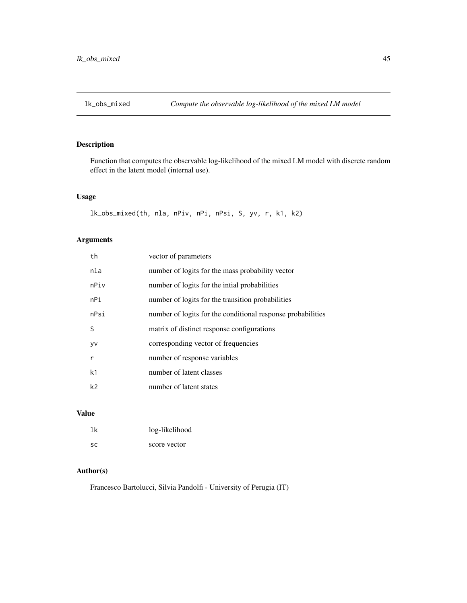<span id="page-44-0"></span>

Function that computes the observable log-likelihood of the mixed LM model with discrete random effect in the latent model (internal use).

### Usage

```
lk_obs_mixed(th, nla, nPiv, nPi, nPsi, S, yv, r, k1, k2)
```
## Arguments

| th             | vector of parameters                                        |
|----------------|-------------------------------------------------------------|
| nla            | number of logits for the mass probability vector            |
| nPiv           | number of logits for the inital probabilities               |
| nPi            | number of logits for the transition probabilities           |
| nPsi           | number of logits for the conditional response probabilities |
| S              | matrix of distinct response configurations                  |
| <b>VV</b>      | corresponding vector of frequencies                         |
| r              | number of response variables                                |
| k <sub>1</sub> | number of latent classes                                    |
| k <sub>2</sub> | number of latent states                                     |

#### Value

| 1k        | log-likelihood |
|-----------|----------------|
| <b>SC</b> | score vector   |

#### Author(s)

Francesco Bartolucci, Silvia Pandolfi - University of Perugia (IT)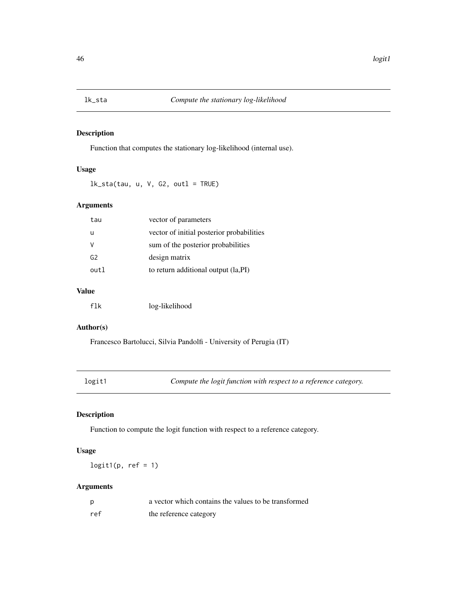<span id="page-45-0"></span>

Function that computes the stationary log-likelihood (internal use).

#### Usage

 $lk\_sta(tau, u, V, G2, outl = TRUE)$ 

## Arguments

| tau            | vector of parameters                      |
|----------------|-------------------------------------------|
| u              | vector of initial posterior probabilities |
| v              | sum of the posterior probabilities        |
| G <sub>2</sub> | design matrix                             |
| out 1          | to return additional output (la, PI)      |
|                |                                           |

## Value

| flk | log-likelihood |
|-----|----------------|
|-----|----------------|

#### Author(s)

Francesco Bartolucci, Silvia Pandolfi - University of Perugia (IT)

logit1 *Compute the logit function with respect to a reference category.*

## Description

Function to compute the logit function with respect to a reference category.

### Usage

 $logit1(p, ref = 1)$ 

| p   | a vector which contains the values to be transformed |
|-----|------------------------------------------------------|
| ref | the reference category                               |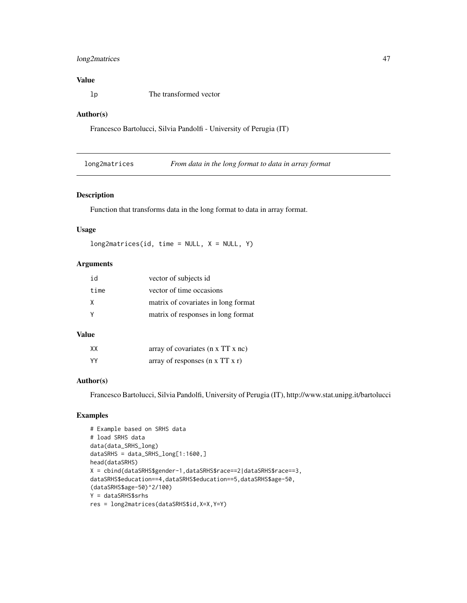### <span id="page-46-0"></span>long2matrices 47

## Value

lp The transformed vector

#### Author(s)

Francesco Bartolucci, Silvia Pandolfi - University of Perugia (IT)

long2matrices *From data in the long format to data in array format*

#### Description

Function that transforms data in the long format to data in array format.

#### Usage

 $long2matrices(id, time = NULL, X = NULL, Y)$ 

### Arguments

| id   | vector of subjects id               |
|------|-------------------------------------|
| time | vector of time occasions            |
| X    | matrix of covariates in long format |
|      | matrix of responses in long format  |

#### Value

| XX  | array of covariates $(n \times TT \times nc)$ |
|-----|-----------------------------------------------|
| YY. | array of responses $(n \times TT \times r)$   |

## Author(s)

Francesco Bartolucci, Silvia Pandolfi, University of Perugia (IT), http://www.stat.unipg.it/bartolucci

#### Examples

```
# Example based on SRHS data
# load SRHS data
data(data_SRHS_long)
dataSRHS = data_SRHS_long[1:1600,]
head(dataSRHS)
X = cbind(dataSRHS$gender-1,dataSRHS$race==2|dataSRHS$race==3,
dataSRHS$education==4,dataSRHS$education==5,dataSRHS$age-50,
(dataSRHS$age-50)^2/100)
Y = dataSRHS$srhs
res = long2matrices(dataSRHS$id,X=X,Y=Y)
```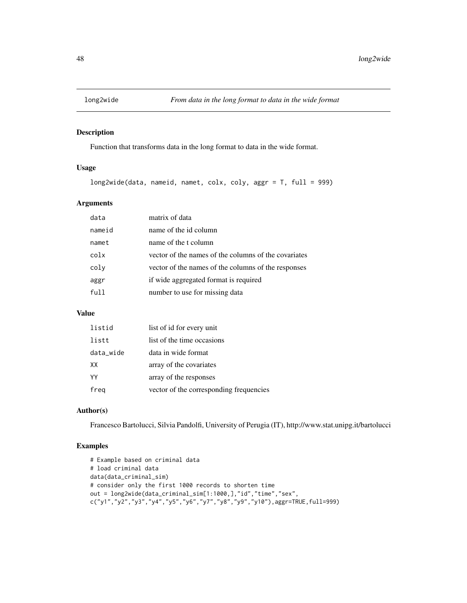<span id="page-47-0"></span>

Function that transforms data in the long format to data in the wide format.

## Usage

```
long2wide(data, nameid, namet, colx, coly, aggr = T, full = 999)
```
### Arguments

| data   | matrix of data                                       |
|--------|------------------------------------------------------|
| nameid | name of the id column                                |
| namet  | name of the t column                                 |
| colx   | vector of the names of the columns of the covariates |
| coly   | vector of the names of the columns of the responses  |
| aggr   | if wide aggregated format is required                |
| full   | number to use for missing data                       |

#### Value

| listid    | list of id for every unit               |
|-----------|-----------------------------------------|
| listt     | list of the time occasions              |
| data_wide | data in wide format                     |
| XX        | array of the covariates                 |
| YY        | array of the responses                  |
| freg      | vector of the corresponding frequencies |

## Author(s)

Francesco Bartolucci, Silvia Pandolfi, University of Perugia (IT), http://www.stat.unipg.it/bartolucci

#### Examples

```
# Example based on criminal data
# load criminal data
data(data_criminal_sim)
# consider only the first 1000 records to shorten time
out = long2wide(data_criminal_sim[1:1000,],"id","time","sex",
c("y1","y2","y3","y4","y5","y6","y7","y8","y9","y10"),aggr=TRUE,full=999)
```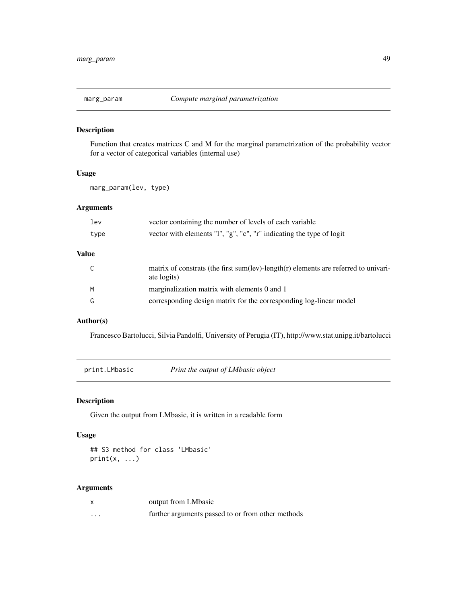<span id="page-48-0"></span>

Function that creates matrices C and M for the marginal parametrization of the probability vector for a vector of categorical variables (internal use)

#### Usage

marg\_param(lev, type)

#### Arguments

| lev   | vector containing the number of levels of each variable                                            |
|-------|----------------------------------------------------------------------------------------------------|
| type  | vector with elements "l", "g", "c", "r" indicating the type of logit                               |
| Value |                                                                                                    |
|       | matrix of constrats (the first sum(lev)-length(r) elements are referred to univari-<br>ate logits) |
| M     | marginalization matrix with elements 0 and 1                                                       |
| G     | corresponding design matrix for the corresponding log-linear model                                 |

#### Author(s)

Francesco Bartolucci, Silvia Pandolfi, University of Perugia (IT), http://www.stat.unipg.it/bartolucci

print.LMbasic *Print the output of LMbasic object*

### Description

Given the output from LMbasic, it is written in a readable form

### Usage

## S3 method for class 'LMbasic'  $print(x, \ldots)$ 

|   | output from LMbasic                               |
|---|---------------------------------------------------|
| . | further arguments passed to or from other methods |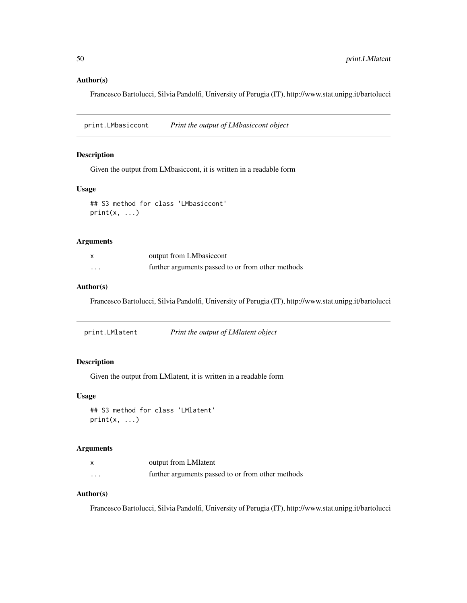#### <span id="page-49-0"></span>Author(s)

Francesco Bartolucci, Silvia Pandolfi, University of Perugia (IT), http://www.stat.unipg.it/bartolucci

print.LMbasiccont *Print the output of LMbasiccont object*

#### Description

Given the output from LMbasiccont, it is written in a readable form

#### Usage

```
## S3 method for class 'LMbasiccont'
print(x, \ldots)
```
#### Arguments

|   | output from LMbasiccont                           |
|---|---------------------------------------------------|
| . | further arguments passed to or from other methods |

#### Author(s)

Francesco Bartolucci, Silvia Pandolfi, University of Perugia (IT), http://www.stat.unipg.it/bartolucci

| print.LMlatent | Print the output of LMlatent object |
|----------------|-------------------------------------|
|                |                                     |

#### Description

Given the output from LMlatent, it is written in a readable form

#### Usage

```
## S3 method for class 'LMlatent'
print(x, \ldots)
```
#### Arguments

|         | output from LM latent                             |
|---------|---------------------------------------------------|
| $\cdot$ | further arguments passed to or from other methods |

## Author(s)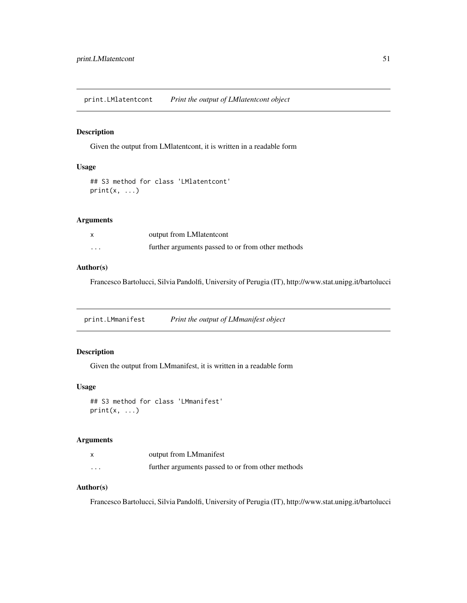<span id="page-50-0"></span>print.LMlatentcont *Print the output of LMlatentcont object*

### Description

Given the output from LMlatentcont, it is written in a readable form

## Usage

```
## S3 method for class 'LMlatentcont'
print(x, \ldots)
```
#### Arguments

| $\boldsymbol{\mathsf{x}}$ | output from LM latent cont                        |
|---------------------------|---------------------------------------------------|
| $\cdot$                   | further arguments passed to or from other methods |

## Author(s)

Francesco Bartolucci, Silvia Pandolfi, University of Perugia (IT), http://www.stat.unipg.it/bartolucci

print.LMmanifest *Print the output of LMmanifest object*

## Description

Given the output from LMmanifest, it is written in a readable form

#### Usage

```
## S3 method for class 'LMmanifest'
print(x, \ldots)
```
## Arguments

|          | output from LMmanifest                            |
|----------|---------------------------------------------------|
| $\cdots$ | further arguments passed to or from other methods |

## Author(s)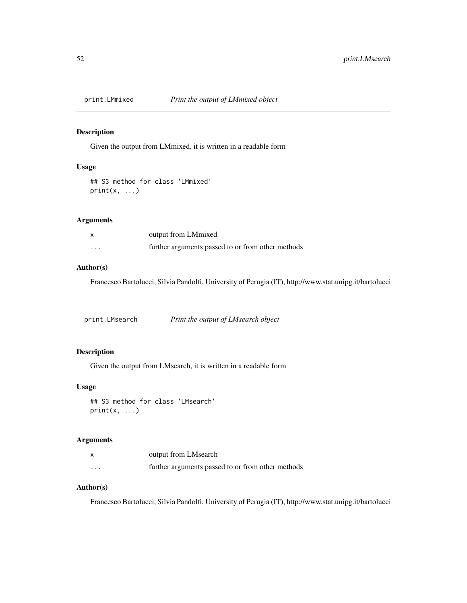<span id="page-51-0"></span>

Given the output from LMmixed, it is written in a readable form

## Usage

## S3 method for class 'LMmixed'  $print(x, \ldots)$ 

#### Arguments

|   | output from LMmixed                               |
|---|---------------------------------------------------|
| . | further arguments passed to or from other methods |

#### Author(s)

Francesco Bartolucci, Silvia Pandolfi, University of Perugia (IT), http://www.stat.unipg.it/bartolucci

print.LMsearch *Print the output of LMsearch object*

## Description

Given the output from LMsearch, it is written in a readable form

#### Usage

```
## S3 method for class 'LMsearch'
print(x, \ldots)
```
## Arguments

|          | output from LMsearch                              |
|----------|---------------------------------------------------|
| $\cdots$ | further arguments passed to or from other methods |

## Author(s)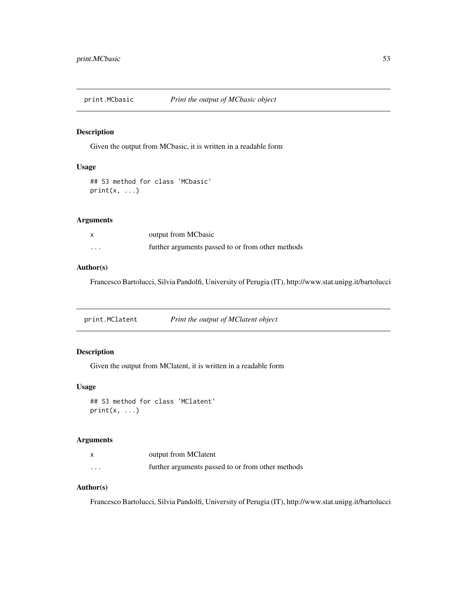<span id="page-52-0"></span>

Given the output from MCbasic, it is written in a readable form

## Usage

## S3 method for class 'MCbasic'  $print(x, \ldots)$ 

#### Arguments

|   | output from MCbasic                               |
|---|---------------------------------------------------|
| . | further arguments passed to or from other methods |

#### Author(s)

Francesco Bartolucci, Silvia Pandolfi, University of Perugia (IT), http://www.stat.unipg.it/bartolucci

print.MClatent *Print the output of MClatent object*

## Description

Given the output from MClatent, it is written in a readable form

#### Usage

```
## S3 method for class 'MClatent'
print(x, \ldots)
```
## Arguments

|          | output from MClatent                              |
|----------|---------------------------------------------------|
| $\cdots$ | further arguments passed to or from other methods |

## Author(s)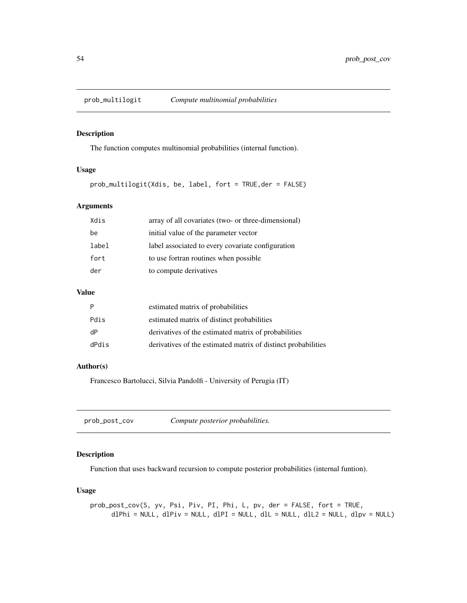<span id="page-53-0"></span>

The function computes multinomial probabilities (internal function).

#### Usage

prob\_multilogit(Xdis, be, label, fort = TRUE,der = FALSE)

#### Arguments

| Xdis  | array of all covariates (two- or three-dimensional) |
|-------|-----------------------------------------------------|
| be    | initial value of the parameter vector               |
| label | label associated to every covariate configuration   |
| fort  | to use fortran routines when possible               |
| der   | to compute derivatives                              |
|       |                                                     |

### Value

| P     | estimated matrix of probabilities                             |
|-------|---------------------------------------------------------------|
| Pdis  | estimated matrix of distinct probabilities                    |
| dP    | derivatives of the estimated matrix of probabilities          |
| dPdis | derivatives of the estimated matrix of distinct probabilities |

#### Author(s)

Francesco Bartolucci, Silvia Pandolfi - University of Perugia (IT)

| prob_post_cov |  | Compute posterior probabilities. |
|---------------|--|----------------------------------|
|---------------|--|----------------------------------|

## Description

Function that uses backward recursion to compute posterior probabilities (internal funtion).

## Usage

prob\_post\_cov(S, yv, Psi, Piv, PI, Phi, L, pv, der = FALSE, fort = TRUE,  $dPhi = NULL, dPiv = NULL, dPI = NULL, dIL = NULL, dIL = NULL, dIL2 = NULL, dDv = NULL)$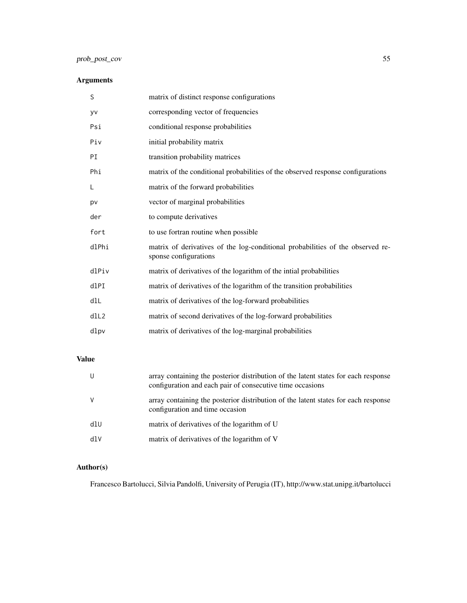## prob\_post\_cov 55

## Arguments

| S     | matrix of distinct response configurations                                                              |
|-------|---------------------------------------------------------------------------------------------------------|
| yv    | corresponding vector of frequencies                                                                     |
| Psi   | conditional response probabilities                                                                      |
| Piv   | initial probability matrix                                                                              |
| PI    | transition probability matrices                                                                         |
| Phi   | matrix of the conditional probabilities of the observed response configurations                         |
| L     | matrix of the forward probabilities                                                                     |
| pv    | vector of marginal probabilities                                                                        |
| der   | to compute derivatives                                                                                  |
| fort  | to use fortran routine when possible                                                                    |
| dlPhi | matrix of derivatives of the log-conditional probabilities of the observed re-<br>sponse configurations |
| dlPiv | matrix of derivatives of the logarithm of the intial probabilities                                      |
| dlPI  | matrix of derivatives of the logarithm of the transition probabilities                                  |
| dlL   | matrix of derivatives of the log-forward probabilities                                                  |
| dll2  | matrix of second derivatives of the log-forward probabilities                                           |
| dlpv  | matrix of derivatives of the log-marginal probabilities                                                 |

## Value

| U   | array containing the posterior distribution of the latent states for each response<br>configuration and each pair of consecutive time occasions |
|-----|-------------------------------------------------------------------------------------------------------------------------------------------------|
| V   | array containing the posterior distribution of the latent states for each response<br>configuration and time occasion                           |
| dlU | matrix of derivatives of the logarithm of U                                                                                                     |
| dlV | matrix of derivatives of the logarithm of V                                                                                                     |

## Author(s)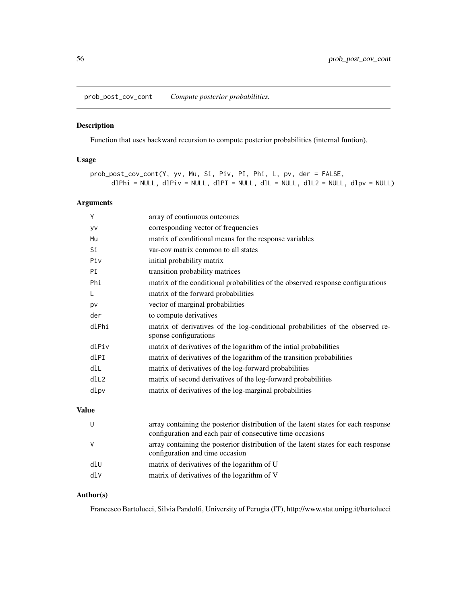<span id="page-55-0"></span>prob\_post\_cov\_cont *Compute posterior probabilities.*

## Description

Function that uses backward recursion to compute posterior probabilities (internal funtion).

## Usage

```
prob_post_cov_cont(Y, yv, Mu, Si, Piv, PI, Phi, L, pv, der = FALSE,
     dPhi = NULL, dPiv = NULL, dPI = NULL, dIL = NULL, dIL = NULL, dIpv = NULL
```
#### Arguments

| Υ     | array of continuous outcomes                                                                            |
|-------|---------------------------------------------------------------------------------------------------------|
| yv    | corresponding vector of frequencies                                                                     |
| Mu    | matrix of conditional means for the response variables                                                  |
| Si    | var-cov matrix common to all states                                                                     |
| Piv   | initial probability matrix                                                                              |
| PI    | transition probability matrices                                                                         |
| Phi   | matrix of the conditional probabilities of the observed response configurations                         |
| L     | matrix of the forward probabilities                                                                     |
| pv    | vector of marginal probabilities                                                                        |
| der   | to compute derivatives                                                                                  |
| dlPhi | matrix of derivatives of the log-conditional probabilities of the observed re-<br>sponse configurations |
| dlPiv | matrix of derivatives of the logarithm of the intial probabilities                                      |
| dlPI  | matrix of derivatives of the logarithm of the transition probabilities                                  |
| dlL   | matrix of derivatives of the log-forward probabilities                                                  |
| dIL2  | matrix of second derivatives of the log-forward probabilities                                           |
| dlpv  | matrix of derivatives of the log-marginal probabilities                                                 |
|       |                                                                                                         |

#### Value

|     | array containing the posterior distribution of the latent states for each response<br>configuration and each pair of consecutive time occasions |
|-----|-------------------------------------------------------------------------------------------------------------------------------------------------|
|     | array containing the posterior distribution of the latent states for each response<br>configuration and time occasion                           |
| d1U | matrix of derivatives of the logarithm of U                                                                                                     |
| dIV | matrix of derivatives of the logarithm of V                                                                                                     |

## Author(s)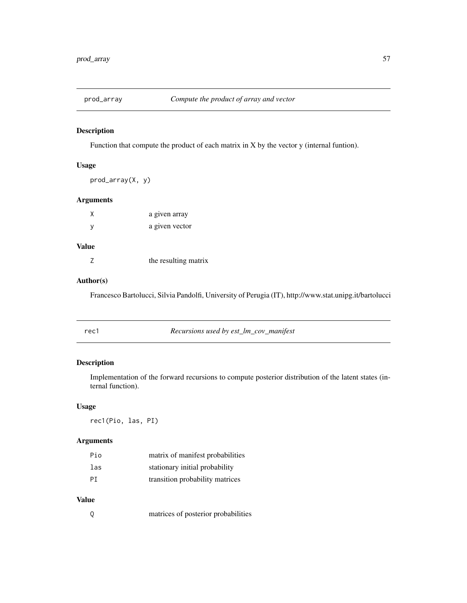<span id="page-56-0"></span>

Function that compute the product of each matrix in X by the vector y (internal funtion).

### Usage

```
prod_array(X, y)
```
### Arguments

| χ | a given array  |
|---|----------------|
| у | a given vector |

## Value

| the resulting matrix |
|----------------------|
|                      |

## Author(s)

Francesco Bartolucci, Silvia Pandolfi, University of Perugia (IT), http://www.stat.unipg.it/bartolucci

| rec1 | Recursions used by est_lm_cov_manifest |  |
|------|----------------------------------------|--|
|      |                                        |  |

## Description

Implementation of the forward recursions to compute posterior distribution of the latent states (internal function).

#### Usage

rec1(Pio, las, PI)

## Arguments

| Pio | matrix of manifest probabilities |
|-----|----------------------------------|
| las | stationary initial probability   |
| PT  | transition probability matrices  |

## Value

| matrices of posterior probabilities |
|-------------------------------------|
|-------------------------------------|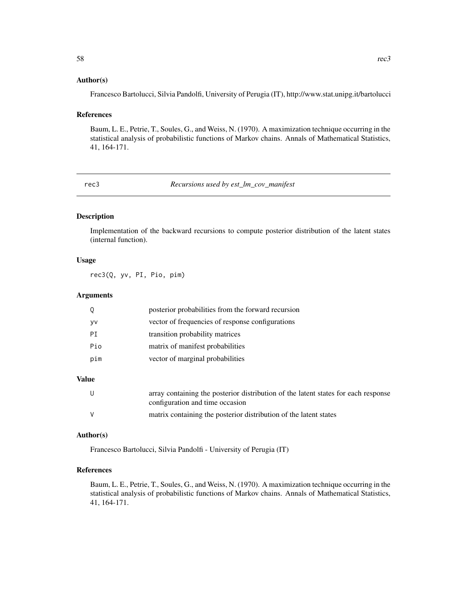#### <span id="page-57-0"></span>Author(s)

Francesco Bartolucci, Silvia Pandolfi, University of Perugia (IT), http://www.stat.unipg.it/bartolucci

#### References

Baum, L. E., Petrie, T., Soules, G., and Weiss, N. (1970). A maximization technique occurring in the statistical analysis of probabilistic functions of Markov chains. Annals of Mathematical Statistics, 41, 164-171.

rec3 *Recursions used by est\_lm\_cov\_manifest*

#### Description

Implementation of the backward recursions to compute posterior distribution of the latent states (internal function).

#### Usage

rec3(Q, yv, PI, Pio, pim)

#### Arguments

|     | posterior probabilities from the forward recursion |
|-----|----------------------------------------------------|
| yv  | vector of frequencies of response configurations   |
| PT  | transition probability matrices                    |
| Pio | matrix of manifest probabilities                   |
| pim | vector of marginal probabilities                   |
|     |                                                    |

## Value

| U | array containing the posterior distribution of the latent states for each response<br>configuration and time occasion |
|---|-----------------------------------------------------------------------------------------------------------------------|
| V | matrix containing the posterior distribution of the latent states                                                     |

#### Author(s)

Francesco Bartolucci, Silvia Pandolfi - University of Perugia (IT)

#### References

Baum, L. E., Petrie, T., Soules, G., and Weiss, N. (1970). A maximization technique occurring in the statistical analysis of probabilistic functions of Markov chains. Annals of Mathematical Statistics, 41, 164-171.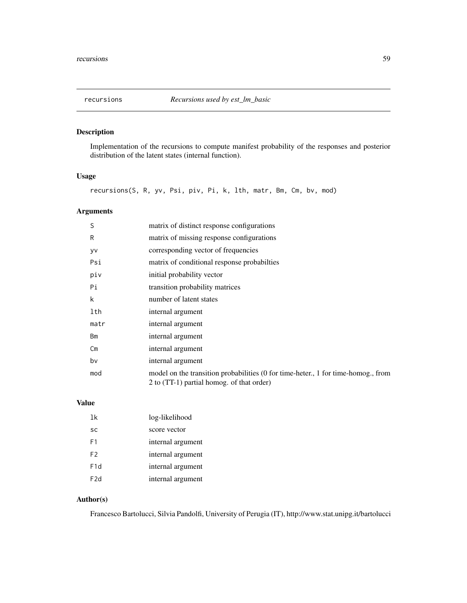<span id="page-58-0"></span>

Implementation of the recursions to compute manifest probability of the responses and posterior distribution of the latent states (internal function).

#### Usage

recursions(S, R, yv, Psi, piv, Pi, k, lth, matr, Bm, Cm, bv, mod)

### Arguments

| S    | matrix of distinct response configurations                                                                                    |
|------|-------------------------------------------------------------------------------------------------------------------------------|
| R    | matrix of missing response configurations                                                                                     |
| yv   | corresponding vector of frequencies                                                                                           |
| Psi  | matrix of conditional response probabilities                                                                                  |
| piv  | initial probability vector                                                                                                    |
| Pi   | transition probability matrices                                                                                               |
| k    | number of latent states                                                                                                       |
| lth  | internal argument                                                                                                             |
| matr | internal argument                                                                                                             |
| Bm   | internal argument                                                                                                             |
| Cm   | internal argument                                                                                                             |
| bv   | internal argument                                                                                                             |
| mod  | model on the transition probabilities (0 for time-heter, 1 for time-homog., from<br>2 to (TT-1) partial homog. of that order) |

## Value

| 1k               | log-likelihood    |
|------------------|-------------------|
| SC               | score vector      |
| F1               | internal argument |
| F2               | internal argument |
| F <sub>1</sub> d | internal argument |
| F <sub>2</sub> d | internal argument |

## Author(s)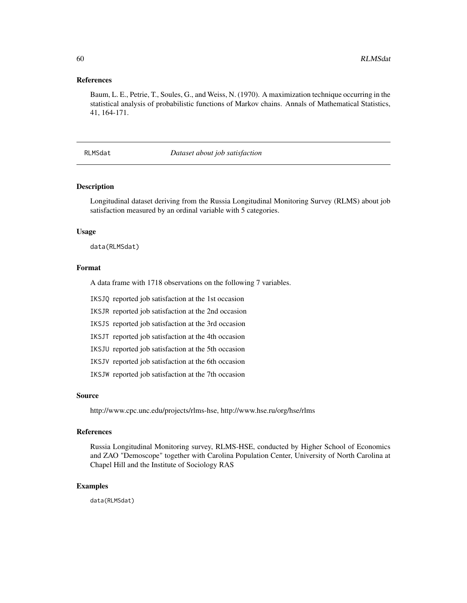#### <span id="page-59-0"></span>References

Baum, L. E., Petrie, T., Soules, G., and Weiss, N. (1970). A maximization technique occurring in the statistical analysis of probabilistic functions of Markov chains. Annals of Mathematical Statistics, 41, 164-171.

#### RLMSdat *Dataset about job satisfaction*

#### Description

Longitudinal dataset deriving from the Russia Longitudinal Monitoring Survey (RLMS) about job satisfaction measured by an ordinal variable with 5 categories.

#### Usage

data(RLMSdat)

#### Format

A data frame with 1718 observations on the following 7 variables.

IKSJQ reported job satisfaction at the 1st occasion

IKSJR reported job satisfaction at the 2nd occasion

IKSJS reported job satisfaction at the 3rd occasion

IKSJT reported job satisfaction at the 4th occasion

IKSJU reported job satisfaction at the 5th occasion

IKSJV reported job satisfaction at the 6th occasion

IKSJW reported job satisfaction at the 7th occasion

#### Source

http://www.cpc.unc.edu/projects/rlms-hse, http://www.hse.ru/org/hse/rlms

#### References

Russia Longitudinal Monitoring survey, RLMS-HSE, conducted by Higher School of Economics and ZAO "Demoscope" together with Carolina Population Center, University of North Carolina at Chapel Hill and the Institute of Sociology RAS

#### Examples

data(RLMSdat)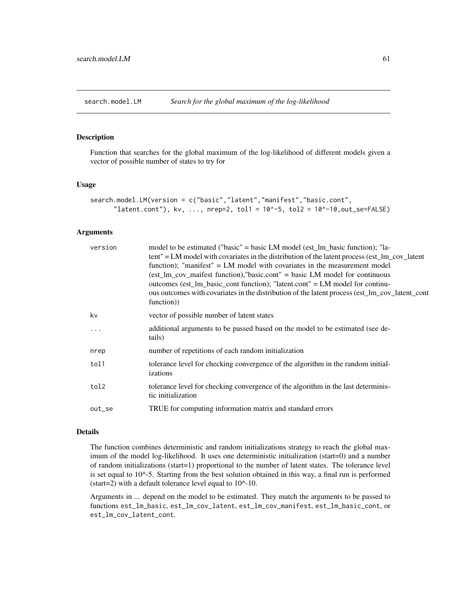<span id="page-60-0"></span>search.model.LM *Search for the global maximum of the log-likelihood*

#### Description

Function that searches for the global maximum of the log-likelihood of different models given a vector of possible number of states to try for

#### Usage

```
search.model.LM(version = c("basic","latent","manifest","basic.cont",
      "latent.cont"), kv, ..., nrep=2, tol1 = 10^{\circ}-5, tol2 = 10^{\circ}-10,out_se=FALSE)
```
#### Arguments

| version  | model to be estimated ("basic" = basic LM model (est_lm_basic function); "la-<br>tent" = LM model with covariates in the distribution of the latent process (est_lm_cov_latent<br>function); "manifest" = LM model with covariates in the measurement model<br>$\text{test\_lm\_cov\_maifest}$ function), "basic.cont" = basic LM model for continuous<br>outcomes (est_lm_basic_cont function); "latent.cont" = LM model for continu-<br>ous outcomes with covariates in the distribution of the latent process (est_lm_cov_latent_cont<br>function) |
|----------|-------------------------------------------------------------------------------------------------------------------------------------------------------------------------------------------------------------------------------------------------------------------------------------------------------------------------------------------------------------------------------------------------------------------------------------------------------------------------------------------------------------------------------------------------------|
| kv       | vector of possible number of latent states                                                                                                                                                                                                                                                                                                                                                                                                                                                                                                            |
| $\ddots$ | additional arguments to be passed based on the model to be estimated (see de-<br>tails)                                                                                                                                                                                                                                                                                                                                                                                                                                                               |
| nrep     | number of repetitions of each random initialization                                                                                                                                                                                                                                                                                                                                                                                                                                                                                                   |
| tol1     | tolerance level for checking convergence of the algorithm in the random initial-<br>izations                                                                                                                                                                                                                                                                                                                                                                                                                                                          |
| tol2     | tolerance level for checking convergence of the algorithm in the last determinis-<br>tic initialization                                                                                                                                                                                                                                                                                                                                                                                                                                               |
| out_se   | TRUE for computing information matrix and standard errors                                                                                                                                                                                                                                                                                                                                                                                                                                                                                             |
|          |                                                                                                                                                                                                                                                                                                                                                                                                                                                                                                                                                       |

#### Details

The function combines deterministic and random initializations strategy to reach the global maximum of the model log-likelihood. It uses one deterministic initialization (start=0) and a number of random initializations (start=1) proportional to the number of latent states. The tolerance level is set equal to 10^-5. Starting from the best solution obtained in this way, a final run is performed (start=2) with a default tolerance level equal to  $10^{\text{A}}-10$ .

Arguments in ... depend on the model to be estimated. They match the arguments to be passed to functions est\_lm\_basic, est\_lm\_cov\_latent, est\_lm\_cov\_manifest, est\_lm\_basic\_cont, or est\_lm\_cov\_latent\_cont.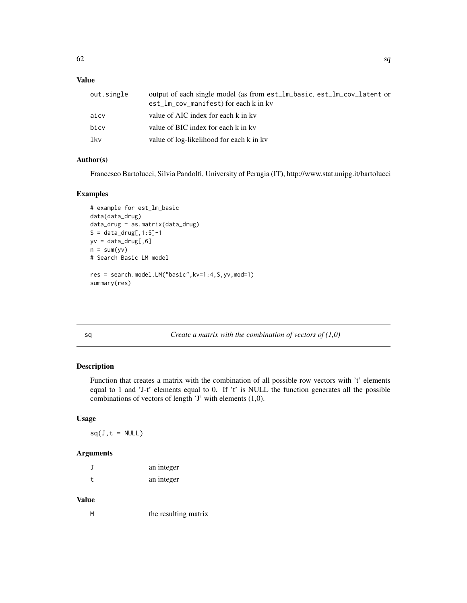## <span id="page-61-0"></span>Value

| out.single | output of each single model (as from est_lm_basic, est_lm_cov_latent or<br>est_lm_cov_manifest) for each k in kv |
|------------|------------------------------------------------------------------------------------------------------------------|
| aicv       | value of AIC index for each k in kv                                                                              |
| bicy       | value of BIC index for each k in kv                                                                              |
| lkv        | value of log-likelihood for each k in kv                                                                         |

## Author(s)

Francesco Bartolucci, Silvia Pandolfi, University of Perugia (IT), http://www.stat.unipg.it/bartolucci

#### Examples

```
# example for est_lm_basic
data(data_drug)
data_drug = as.matrix(data_drug)
S = data_drug[, 1:5]-1yv = data_drug[, 6]n = sum(yv)# Search Basic LM model
res = search.model.LM("basic",kv=1:4,S,yv,mod=1)
summary(res)
```
sq *Create a matrix with the combination of vectors of (1,0)*

## Description

Function that creates a matrix with the combination of all possible row vectors with 't' elements equal to 1 and 'J-t' elements equal to 0. If 't' is NULL the function generates all the possible combinations of vectors of length 'J' with elements (1,0).

#### Usage

 $sq(J, t = NULL)$ 

#### Arguments

|   | an integer |
|---|------------|
| t | an integer |

#### Value

M the resulting matrix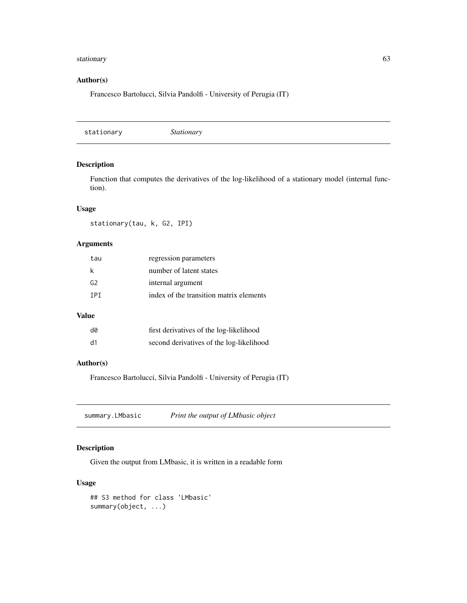#### <span id="page-62-0"></span>stationary 63

## Author(s)

Francesco Bartolucci, Silvia Pandolfi - University of Perugia (IT)

stationary *Stationary*

### Description

Function that computes the derivatives of the log-likelihood of a stationary model (internal function).

#### Usage

stationary(tau, k, G2, IPI)

#### Arguments

| tau            | regression parameters                   |
|----------------|-----------------------------------------|
| k              | number of latent states                 |
| G <sub>2</sub> | internal argument                       |
| TPT            | index of the transition matrix elements |

### Value

| d0 | first derivatives of the log-likelihood  |
|----|------------------------------------------|
| d1 | second derivatives of the log-likelihood |

#### Author(s)

Francesco Bartolucci, Silvia Pandolfi - University of Perugia (IT)

summary.LMbasic *Print the output of LMbasic object*

### Description

Given the output from LMbasic, it is written in a readable form

#### Usage

```
## S3 method for class 'LMbasic'
summary(object, ...)
```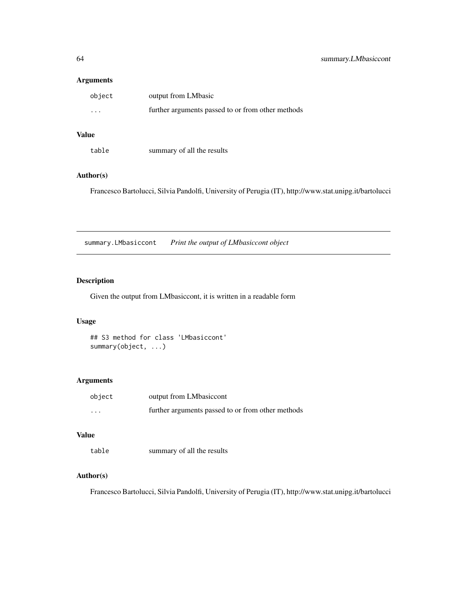#### <span id="page-63-0"></span>Arguments

| object   | output from LMbasic                               |
|----------|---------------------------------------------------|
| $\cdots$ | further arguments passed to or from other methods |

## Value

| table | summary of all the results |
|-------|----------------------------|
|-------|----------------------------|

## Author(s)

Francesco Bartolucci, Silvia Pandolfi, University of Perugia (IT), http://www.stat.unipg.it/bartolucci

summary.LMbasiccont *Print the output of LMbasiccont object*

## Description

Given the output from LMbasiccont, it is written in a readable form

#### Usage

## S3 method for class 'LMbasiccont' summary(object, ...)

### Arguments

| object   | output from LMbasiccont                           |
|----------|---------------------------------------------------|
| $\cdots$ | further arguments passed to or from other methods |

#### Value

table summary of all the results

#### Author(s)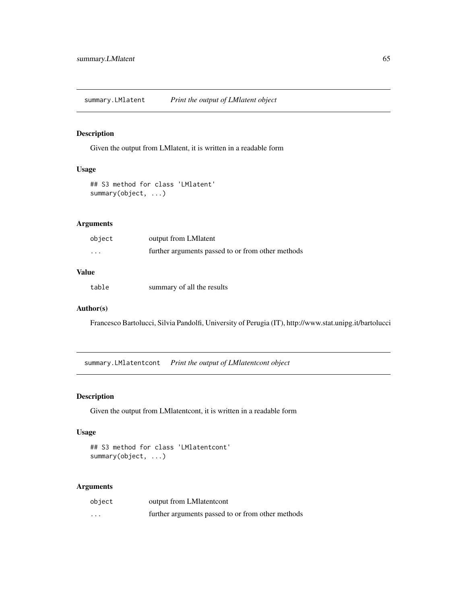<span id="page-64-0"></span>summary.LMlatent *Print the output of LMlatent object*

### Description

Given the output from LMlatent, it is written in a readable form

### Usage

## S3 method for class 'LMlatent' summary(object, ...)

#### Arguments

| object   | output from LM latent                             |
|----------|---------------------------------------------------|
| $\cdots$ | further arguments passed to or from other methods |

## Value

table summary of all the results

#### Author(s)

Francesco Bartolucci, Silvia Pandolfi, University of Perugia (IT), http://www.stat.unipg.it/bartolucci

summary.LMlatentcont *Print the output of LMlatentcont object*

#### Description

Given the output from LMlatentcont, it is written in a readable form

#### Usage

## S3 method for class 'LMlatentcont' summary(object, ...)

| object   | output from LMI atent cont                        |
|----------|---------------------------------------------------|
| $\cdots$ | further arguments passed to or from other methods |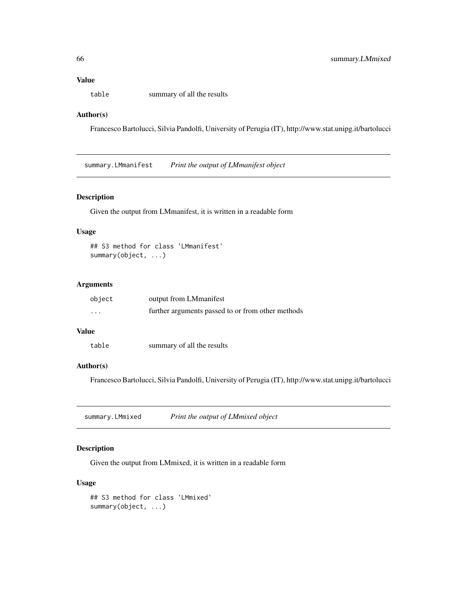## <span id="page-65-0"></span>Value

table summary of all the results

#### Author(s)

Francesco Bartolucci, Silvia Pandolfi, University of Perugia (IT), http://www.stat.unipg.it/bartolucci

summary.LMmanifest *Print the output of LMmanifest object*

#### Description

Given the output from LMmanifest, it is written in a readable form

#### Usage

```
## S3 method for class 'LMmanifest'
summary(object, ...)
```
#### Arguments

| object   | output from LMmanifest                            |
|----------|---------------------------------------------------|
| $\cdots$ | further arguments passed to or from other methods |

#### Value

```
table summary of all the results
```
#### Author(s)

Francesco Bartolucci, Silvia Pandolfi, University of Perugia (IT), http://www.stat.unipg.it/bartolucci

summary.LMmixed *Print the output of LMmixed object*

## Description

Given the output from LMmixed, it is written in a readable form

#### Usage

```
## S3 method for class 'LMmixed'
summary(object, ...)
```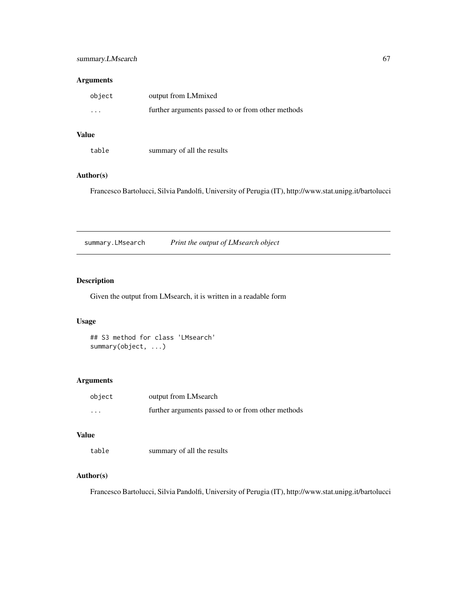#### <span id="page-66-0"></span>Arguments

| object   | output from LMmixed                               |
|----------|---------------------------------------------------|
| $\cdots$ | further arguments passed to or from other methods |

## Value

| table | summary of all the results |
|-------|----------------------------|
|-------|----------------------------|

#### Author(s)

Francesco Bartolucci, Silvia Pandolfi, University of Perugia (IT), http://www.stat.unipg.it/bartolucci

summary.LMsearch *Print the output of LMsearch object*

## Description

Given the output from LMsearch, it is written in a readable form

#### Usage

## S3 method for class 'LMsearch' summary(object, ...)

### Arguments

| object | output from LMsearch                              |
|--------|---------------------------------------------------|
| .      | further arguments passed to or from other methods |

#### Value

table summary of all the results

#### Author(s)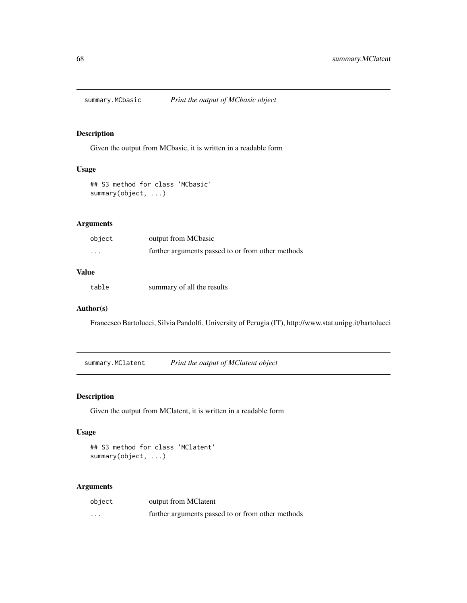<span id="page-67-0"></span>

Given the output from MCbasic, it is written in a readable form

#### Usage

## S3 method for class 'MCbasic' summary(object, ...)

#### Arguments

| object                  | output from MCbasic                               |
|-------------------------|---------------------------------------------------|
| $\cdot$ $\cdot$ $\cdot$ | further arguments passed to or from other methods |

## Value

table summary of all the results

#### Author(s)

Francesco Bartolucci, Silvia Pandolfi, University of Perugia (IT), http://www.stat.unipg.it/bartolucci

summary.MClatent *Print the output of MClatent object*

### Description

Given the output from MClatent, it is written in a readable form

#### Usage

## S3 method for class 'MClatent' summary(object, ...)

| object   | output from MClatent                              |
|----------|---------------------------------------------------|
| $\cdots$ | further arguments passed to or from other methods |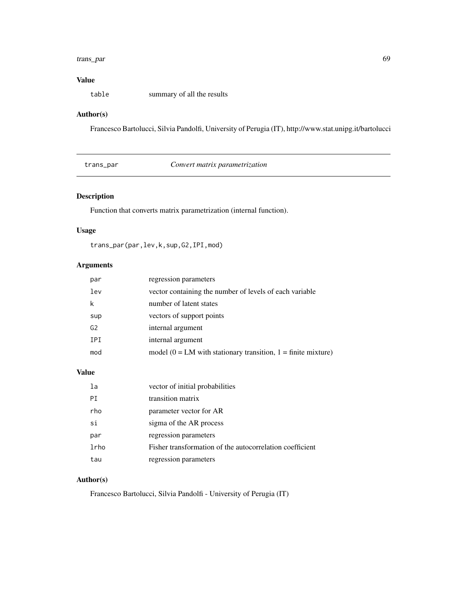#### <span id="page-68-0"></span>trans\_par 69

## Value

table summary of all the results

#### Author(s)

Francesco Bartolucci, Silvia Pandolfi, University of Perugia (IT), http://www.stat.unipg.it/bartolucci

trans\_par *Convert matrix parametrization*

### Description

Function that converts matrix parametrization (internal function).

## Usage

trans\_par(par,lev,k,sup,G2,IPI,mod)

### Arguments

| par            | regression parameters                                              |
|----------------|--------------------------------------------------------------------|
| lev            | vector containing the number of levels of each variable            |
|                | number of latent states                                            |
| sup            | vectors of support points                                          |
| G <sub>2</sub> | internal argument                                                  |
| <b>IPI</b>     | internal argument                                                  |
| mod            | model ( $0 = LM$ with stationary transition, $1 =$ finite mixture) |

#### Value

| la   | vector of initial probabilities                          |
|------|----------------------------------------------------------|
| PT   | transition matrix                                        |
| rho  | parameter vector for AR                                  |
| si   | sigma of the AR process                                  |
| par  | regression parameters                                    |
| lrho | Fisher transformation of the autocorrelation coefficient |
| tau  | regression parameters                                    |

#### Author(s)

Francesco Bartolucci, Silvia Pandolfi - University of Perugia (IT)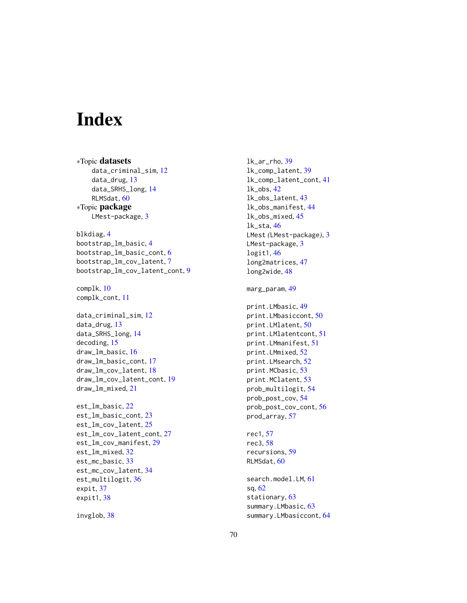# <span id="page-69-0"></span>Index

∗Topic datasets data\_criminal\_sim, [12](#page-11-0) data\_drug, [13](#page-12-0) data\_SRHS\_long, [14](#page-13-0) RLMSdat, [60](#page-59-0) ∗Topic package LMest-package, [3](#page-2-0) blkdiag, [4](#page-3-0) bootstrap\_lm\_basic, [4](#page-3-0) bootstrap\_lm\_basic\_cont, [6](#page-5-0) bootstrap\_lm\_cov\_latent, [7](#page-6-0) bootstrap\_lm\_cov\_latent\_cont, [9](#page-8-0) complk, [10](#page-9-0) complk\_cont, [11](#page-10-0) data\_criminal\_sim, [12](#page-11-0) data\_drug, [13](#page-12-0) data\_SRHS\_long, [14](#page-13-0) decoding, [15](#page-14-0) draw\_lm\_basic, [16](#page-15-0) draw\_lm\_basic\_cont, [17](#page-16-0) draw\_lm\_cov\_latent, [18](#page-17-0) draw\_lm\_cov\_latent\_cont, [19](#page-18-0) draw\_lm\_mixed, [21](#page-20-0) est\_lm\_basic, [22](#page-21-0) est\_lm\_basic\_cont, [23](#page-22-0) est\_lm\_cov\_latent, [25](#page-24-0) est\_lm\_cov\_latent\_cont, [27](#page-26-0) est\_lm\_cov\_manifest, [29](#page-28-0) est\_lm\_mixed, [32](#page-31-0) est\_mc\_basic, [33](#page-32-0) est\_mc\_cov\_latent, [34](#page-33-0) est\_multilogit, [36](#page-35-0) expit, [37](#page-36-0) expit1, [38](#page-37-0)

invglob, [38](#page-37-0)

lk\_ar\_rho, [39](#page-38-0) lk\_comp\_latent, [39](#page-38-0) lk\_comp\_latent\_cont, [41](#page-40-0) lk\_obs, [42](#page-41-0) lk\_obs\_latent, [43](#page-42-0) lk\_obs\_manifest, [44](#page-43-0) lk\_obs\_mixed, [45](#page-44-0) lk\_sta, [46](#page-45-0) LMest *(*LMest-package*)*, [3](#page-2-0) LMest-package, [3](#page-2-0) logit1, [46](#page-45-0) long2matrices, [47](#page-46-0) long2wide, [48](#page-47-0)

#### marg\_param, [49](#page-48-0)

print.LMbasic, [49](#page-48-0) print.LMbasiccont, [50](#page-49-0) print.LMlatent, [50](#page-49-0) print.LMlatentcont, [51](#page-50-0) print.LMmanifest, [51](#page-50-0) print.LMmixed, [52](#page-51-0) print.LMsearch, [52](#page-51-0) print.MCbasic, [53](#page-52-0) print.MClatent, [53](#page-52-0) prob\_multilogit, [54](#page-53-0) prob\_post\_cov, [54](#page-53-0) prob\_post\_cov\_cont, [56](#page-55-0) prod\_array, [57](#page-56-0)

rec1, [57](#page-56-0) rec3, [58](#page-57-0) recursions, [59](#page-58-0) RLMSdat, [60](#page-59-0)

search.model.LM, [61](#page-60-0) sq, [62](#page-61-0) stationary, [63](#page-62-0) summary.LMbasic, [63](#page-62-0) summary.LMbasiccont, [64](#page-63-0)